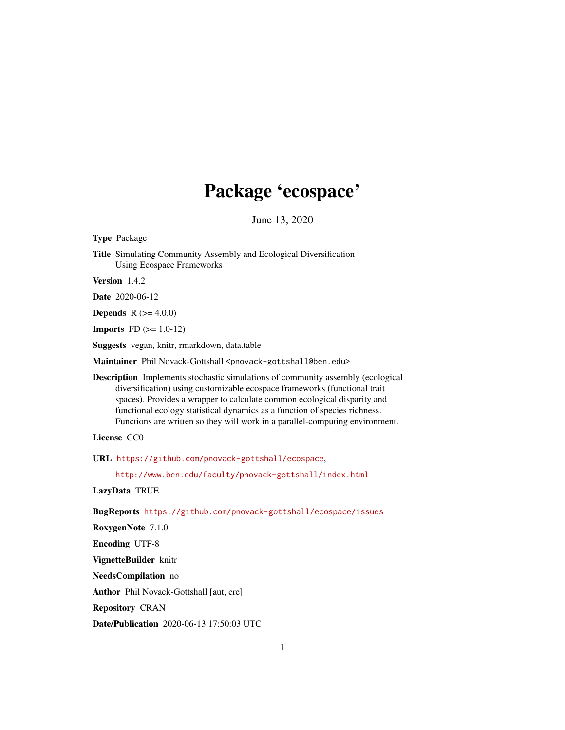## Package 'ecospace'

June 13, 2020

<span id="page-0-0"></span>Type Package

Title Simulating Community Assembly and Ecological Diversification Using Ecospace Frameworks

Version 1.4.2

Date 2020-06-12

**Depends** R  $(>= 4.0.0)$ 

**Imports** FD  $(>= 1.0-12)$ 

Suggests vegan, knitr, rmarkdown, data.table

Maintainer Phil Novack-Gottshall <pnovack-gottshall@ben.edu>

Description Implements stochastic simulations of community assembly (ecological diversification) using customizable ecospace frameworks (functional trait spaces). Provides a wrapper to calculate common ecological disparity and functional ecology statistical dynamics as a function of species richness. Functions are written so they will work in a parallel-computing environment.

License CC0

URL <https://github.com/pnovack-gottshall/ecospace>,

<http://www.ben.edu/faculty/pnovack-gottshall/index.html>

LazyData TRUE

BugReports <https://github.com/pnovack-gottshall/ecospace/issues>

RoxygenNote 7.1.0

Encoding UTF-8

VignetteBuilder knitr

NeedsCompilation no

Author Phil Novack-Gottshall [aut, cre]

Repository CRAN

Date/Publication 2020-06-13 17:50:03 UTC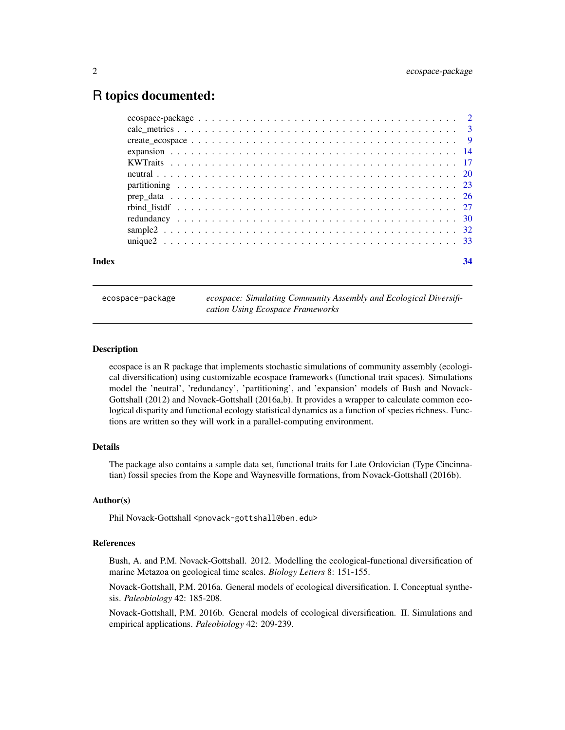## <span id="page-1-0"></span>R topics documented:

| Index | 34 |
|-------|----|
|       |    |
|       |    |
|       |    |
|       |    |
|       |    |
|       |    |
|       |    |
|       |    |
|       |    |
|       |    |
|       |    |
|       |    |

ecospace-package *ecospace: Simulating Community Assembly and Ecological Diversification Using Ecospace Frameworks*

## Description

ecospace is an R package that implements stochastic simulations of community assembly (ecological diversification) using customizable ecospace frameworks (functional trait spaces). Simulations model the 'neutral', 'redundancy', 'partitioning', and 'expansion' models of Bush and Novack-Gottshall (2012) and Novack-Gottshall (2016a,b). It provides a wrapper to calculate common ecological disparity and functional ecology statistical dynamics as a function of species richness. Functions are written so they will work in a parallel-computing environment.

## Details

The package also contains a sample data set, functional traits for Late Ordovician (Type Cincinnatian) fossil species from the Kope and Waynesville formations, from Novack-Gottshall (2016b).

## Author(s)

Phil Novack-Gottshall <pnovack-gottshall@ben.edu>

## References

Bush, A. and P.M. Novack-Gottshall. 2012. Modelling the ecological-functional diversification of marine Metazoa on geological time scales. *Biology Letters* 8: 151-155.

Novack-Gottshall, P.M. 2016a. General models of ecological diversification. I. Conceptual synthesis. *Paleobiology* 42: 185-208.

Novack-Gottshall, P.M. 2016b. General models of ecological diversification. II. Simulations and empirical applications. *Paleobiology* 42: 209-239.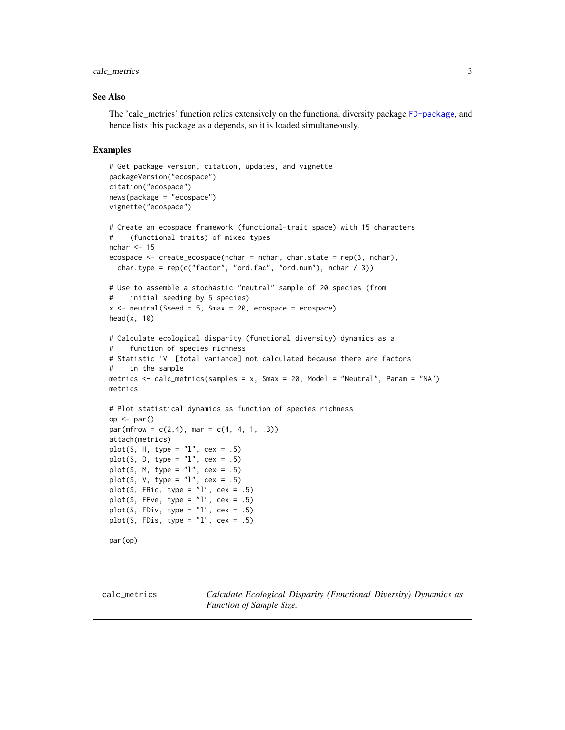## <span id="page-2-0"></span>calc\_metrics 3

## See Also

The 'calc metrics' function relies extensively on the functional diversity package [FD-package](#page-0-0), and hence lists this package as a depends, so it is loaded simultaneously.

```
# Get package version, citation, updates, and vignette
packageVersion("ecospace")
citation("ecospace")
news(package = "ecospace")
vignette("ecospace")
# Create an ecospace framework (functional-trait space) with 15 characters
# (functional traits) of mixed types
nchar <-15ecospace <- create_ecospace(nchar = nchar, char.state = rep(3, nchar),
  char.type = rep(c("factor", "ord.fac", "ord.num"), nchar / 3))# Use to assemble a stochastic "neutral" sample of 20 species (from
# initial seeding by 5 species)
x \le - neutral(Sseed = 5, Smax = 20, ecospace = ecospace)
head(x, 10)# Calculate ecological disparity (functional diversity) dynamics as a
# function of species richness
# Statistic 'V' [total variance] not calculated because there are factors
# in the sample
metrics <- calc_metrics(samples = x, Smax = 20, Model = "Neutral", Param = "NA")
metrics
# Plot statistical dynamics as function of species richness
op <- par()
par(mfrow = c(2, 4), mar = c(4, 4, 1, .3))attach(metrics)
plot(S, H, type = "l", cex = .5)plot(S, D, type = "l", cex = .5)plot(S, M, type = "l", cex = .5)plot(S, V, type = "l", cex = .5)
plot(S, FRic, type = "1", cex = .5)
plot(S, FEve, type = "1", cex = .5)
plot(S, FDiv, type = "1", cex = .5)
plot(S, FDis, type = "1", cex = .5)
par(op)
```
<span id="page-2-1"></span>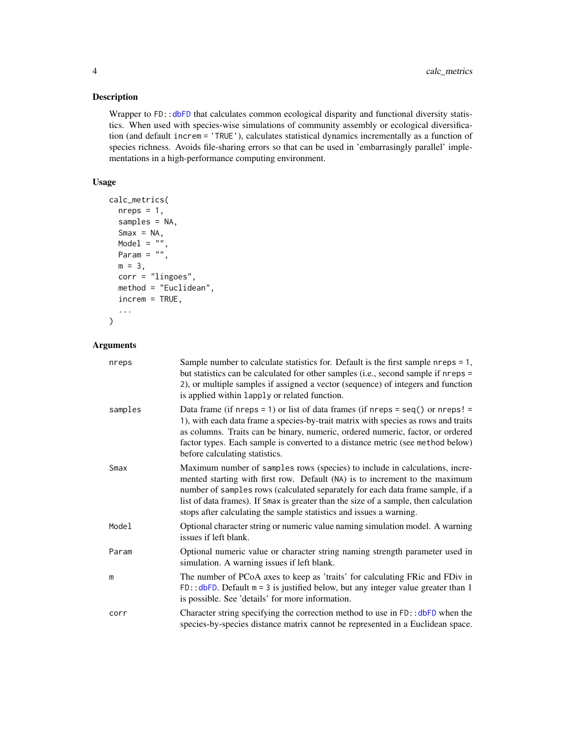## Description

Wrapper to FD:[:dbFD](#page-0-0) that calculates common ecological disparity and functional diversity statistics. When used with species-wise simulations of community assembly or ecological diversification (and default increm = 'TRUE'), calculates statistical dynamics incrementally as a function of species richness. Avoids file-sharing errors so that can be used in 'embarrasingly parallel' implementations in a high-performance computing environment.

## Usage

```
calc_metrics(
  nreps = 1,
  samples = NA,
  Smax = NA,
 Model = ""Param = ",
 m = 3,corr = "lingoes",
 method = "Euclidean",
  increm = TRUE,
  ...
)
```
## Arguments

| nreps   | Sample number to calculate statistics for. Default is the first sample $n$ reps = 1,<br>but statistics can be calculated for other samples (i.e., second sample if nreps =<br>2), or multiple samples if assigned a vector (sequence) of integers and function<br>is applied within lapply or related function.                                                                                             |
|---------|-------------------------------------------------------------------------------------------------------------------------------------------------------------------------------------------------------------------------------------------------------------------------------------------------------------------------------------------------------------------------------------------------------------|
| samples | Data frame (if nreps = 1) or list of data frames (if nreps = seq() or nreps! =<br>1), with each data frame a species-by-trait matrix with species as rows and traits<br>as columns. Traits can be binary, numeric, ordered numeric, factor, or ordered<br>factor types. Each sample is converted to a distance metric (see method below)<br>before calculating statistics.                                  |
| Smax    | Maximum number of samples rows (species) to include in calculations, incre-<br>mented starting with first row. Default (NA) is to increment to the maximum<br>number of samples rows (calculated separately for each data frame sample, if a<br>list of data frames). If Smax is greater than the size of a sample, then calculation<br>stops after calculating the sample statistics and issues a warning. |
| Model   | Optional character string or numeric value naming simulation model. A warning<br>issues if left blank.                                                                                                                                                                                                                                                                                                      |
| Param   | Optional numeric value or character string naming strength parameter used in<br>simulation. A warning issues if left blank.                                                                                                                                                                                                                                                                                 |
| m       | The number of PCoA axes to keep as 'traits' for calculating FRic and FDiv in<br>$FD: : dbFD.$ Default $m = 3$ is justified below, but any integer value greater than 1<br>is possible. See 'details' for more information.                                                                                                                                                                                  |
| corr    | Character string specifying the correction method to use in $FD$ : $dbFD$ when the<br>species-by-species distance matrix cannot be represented in a Euclidean space.                                                                                                                                                                                                                                        |

<span id="page-3-0"></span>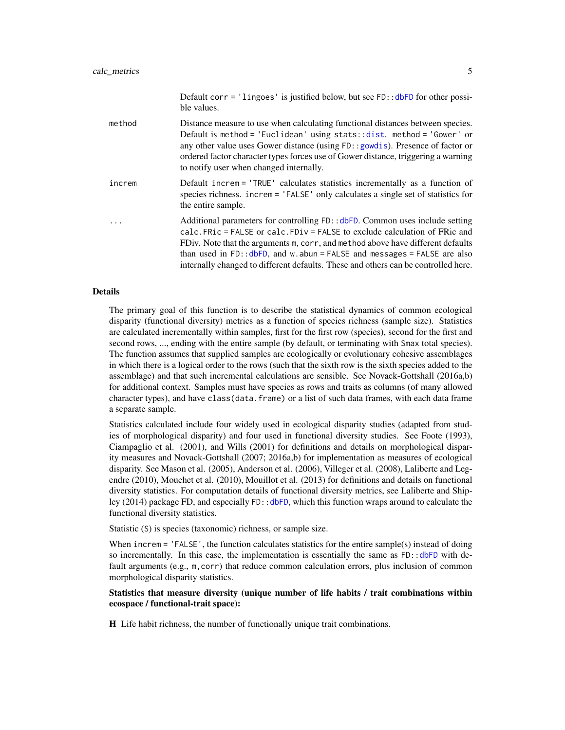<span id="page-4-0"></span>

|        | Default corr = 'lingoes' is justified below, but see $FD$ : :dbFD for other possi-<br>ble values.                                                                                                                                                                                                                                                                                                                   |
|--------|---------------------------------------------------------------------------------------------------------------------------------------------------------------------------------------------------------------------------------------------------------------------------------------------------------------------------------------------------------------------------------------------------------------------|
| method | Distance measure to use when calculating functional distances between species.<br>Default is method = 'Euclidean' using stats:: $dist.$ method = 'Gower' or<br>any other value uses Gower distance (using FD: : gowdis). Presence of factor or<br>ordered factor character types forces use of Gower distance, triggering a warning<br>to notify user when changed internally.                                      |
| increm | Default increm = 'TRUE' calculates statistics incrementally as a function of<br>species richness. increm = 'FALSE' only calculates a single set of statistics for<br>the entire sample.                                                                                                                                                                                                                             |
| .      | Additional parameters for controlling FD:: dbFD. Common uses include setting<br>calc. FRic = FALSE or calc. FDiv = FALSE to exclude calculation of FRic and<br>FDiv. Note that the arguments m, corr, and method above have different defaults<br>than used in FD:: $dbFD$ , and w.abun = FALSE and messages = FALSE are also<br>internally changed to different defaults. These and others can be controlled here. |

## Details

The primary goal of this function is to describe the statistical dynamics of common ecological disparity (functional diversity) metrics as a function of species richness (sample size). Statistics are calculated incrementally within samples, first for the first row (species), second for the first and second rows, ..., ending with the entire sample (by default, or terminating with Smax total species). The function assumes that supplied samples are ecologically or evolutionary cohesive assemblages in which there is a logical order to the rows (such that the sixth row is the sixth species added to the assemblage) and that such incremental calculations are sensible. See Novack-Gottshall (2016a,b) for additional context. Samples must have species as rows and traits as columns (of many allowed character types), and have class(data. frame) or a list of such data frames, with each data frame a separate sample.

Statistics calculated include four widely used in ecological disparity studies (adapted from studies of morphological disparity) and four used in functional diversity studies. See Foote (1993), Ciampaglio et al. (2001), and Wills (2001) for definitions and details on morphological disparity measures and Novack-Gottshall (2007; 2016a,b) for implementation as measures of ecological disparity. See Mason et al. (2005), Anderson et al. (2006), Villeger et al. (2008), Laliberte and Legendre (2010), Mouchet et al. (2010), Mouillot et al. (2013) for definitions and details on functional diversity statistics. For computation details of functional diversity metrics, see Laliberte and Shipley (2014) package FD, and especially FD:[:dbFD](#page-0-0), which this function wraps around to calculate the functional diversity statistics.

Statistic (S) is species (taxonomic) richness, or sample size.

When increm = 'FALSE', the function calculates statistics for the entire sample(s) instead of doing so incrementally. In this case, the implementation is essentially the same as FD:[:dbFD](#page-0-0) with default arguments (e.g., m, corr) that reduce common calculation errors, plus inclusion of common morphological disparity statistics.

## Statistics that measure diversity (unique number of life habits / trait combinations within ecospace / functional-trait space):

H Life habit richness, the number of functionally unique trait combinations.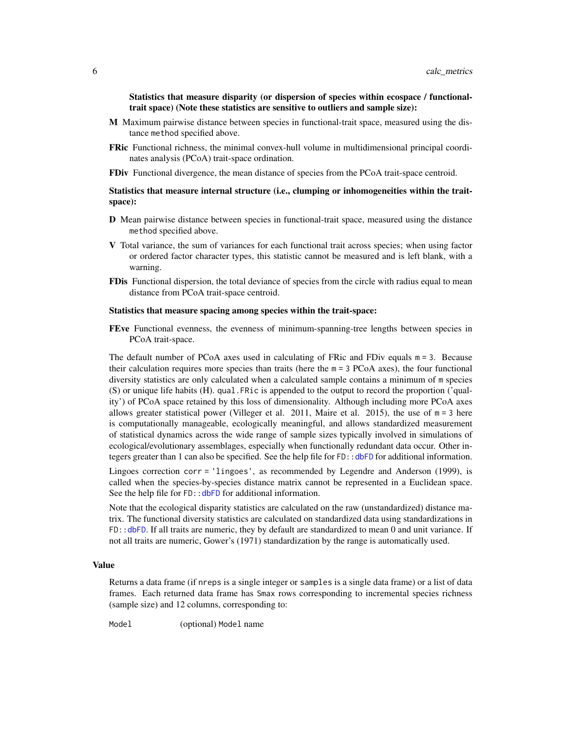<span id="page-5-0"></span>Statistics that measure disparity (or dispersion of species within ecospace / functionaltrait space) (Note these statistics are sensitive to outliers and sample size):

- M Maximum pairwise distance between species in functional-trait space, measured using the distance method specified above.
- **FRic** Functional richness, the minimal convex-hull volume in multidimensional principal coordinates analysis (PCoA) trait-space ordination.
- FDiv Functional divergence, the mean distance of species from the PCoA trait-space centroid.

## Statistics that measure internal structure (i.e., clumping or inhomogeneities within the traitspace):

- D Mean pairwise distance between species in functional-trait space, measured using the distance method specified above.
- V Total variance, the sum of variances for each functional trait across species; when using factor or ordered factor character types, this statistic cannot be measured and is left blank, with a warning.
- **FDis** Functional dispersion, the total deviance of species from the circle with radius equal to mean distance from PCoA trait-space centroid.

#### Statistics that measure spacing among species within the trait-space:

FEve Functional evenness, the evenness of minimum-spanning-tree lengths between species in PCoA trait-space.

The default number of PCoA axes used in calculating of FRic and FDiv equals m = 3. Because their calculation requires more species than traits (here the  $m = 3$  PCoA axes), the four functional diversity statistics are only calculated when a calculated sample contains a minimum of m species (S) or unique life habits (H). qual.FRic is appended to the output to record the proportion ('quality') of PCoA space retained by this loss of dimensionality. Although including more PCoA axes allows greater statistical power (Villeger et al. 2011, Maire et al. 2015), the use of  $m = 3$  here is computationally manageable, ecologically meaningful, and allows standardized measurement of statistical dynamics across the wide range of sample sizes typically involved in simulations of ecological/evolutionary assemblages, especially when functionally redundant data occur. Other integers greater than 1 can also be specified. See the help file for FD:[:dbFD](#page-0-0) for additional information.

Lingoes correction corr = 'lingoes', as recommended by Legendre and Anderson (1999), is called when the species-by-species distance matrix cannot be represented in a Euclidean space. See the help file for FD:: dbFD for additional information.

Note that the ecological disparity statistics are calculated on the raw (unstandardized) distance matrix. The functional diversity statistics are calculated on standardized data using standardizations in FD:[:dbFD](#page-0-0). If all traits are numeric, they by default are standardized to mean 0 and unit variance. If not all traits are numeric, Gower's (1971) standardization by the range is automatically used.

## Value

Returns a data frame (if nreps is a single integer or samples is a single data frame) or a list of data frames. Each returned data frame has Smax rows corresponding to incremental species richness (sample size) and 12 columns, corresponding to:

Model (optional) Model name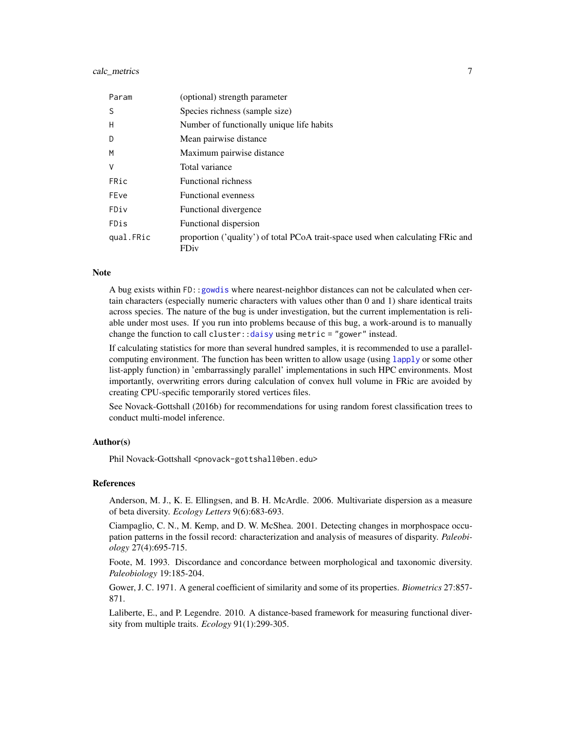## <span id="page-6-0"></span>calc\_metrics 7

| Param     | (optional) strength parameter                                                           |
|-----------|-----------------------------------------------------------------------------------------|
| S         | Species richness (sample size)                                                          |
| H         | Number of functionally unique life habits                                               |
| D         | Mean pairwise distance                                                                  |
| M         | Maximum pairwise distance                                                               |
| V         | Total variance                                                                          |
| FRic      | Functional richness                                                                     |
| FEve      | <b>Functional evenness</b>                                                              |
| FDiv      | Functional divergence                                                                   |
| FDis      | Functional dispersion                                                                   |
| qual.FRic | proportion ('quality') of total PCoA trait-space used when calculating FRic and<br>FDiv |

## **Note**

A bug exists within FD:[:gowdis](#page-0-0) where nearest-neighbor distances can not be calculated when certain characters (especially numeric characters with values other than 0 and 1) share identical traits across species. The nature of the bug is under investigation, but the current implementation is reliable under most uses. If you run into problems because of this bug, a work-around is to manually change the function to call cluster:  $:$  daisy using metric = "gower" instead.

If calculating statistics for more than several hundred samples, it is recommended to use a parallelcomputing environment. The function has been written to allow usage (using [lapply](#page-0-0) or some other list-apply function) in 'embarrassingly parallel' implementations in such HPC environments. Most importantly, overwriting errors during calculation of convex hull volume in FRic are avoided by creating CPU-specific temporarily stored vertices files.

See Novack-Gottshall (2016b) for recommendations for using random forest classification trees to conduct multi-model inference.

#### Author(s)

Phil Novack-Gottshall <pnovack-gottshall@ben.edu>

## References

Anderson, M. J., K. E. Ellingsen, and B. H. McArdle. 2006. Multivariate dispersion as a measure of beta diversity. *Ecology Letters* 9(6):683-693.

Ciampaglio, C. N., M. Kemp, and D. W. McShea. 2001. Detecting changes in morphospace occupation patterns in the fossil record: characterization and analysis of measures of disparity. *Paleobiology* 27(4):695-715.

Foote, M. 1993. Discordance and concordance between morphological and taxonomic diversity. *Paleobiology* 19:185-204.

Gower, J. C. 1971. A general coefficient of similarity and some of its properties. *Biometrics* 27:857- 871.

Laliberte, E., and P. Legendre. 2010. A distance-based framework for measuring functional diversity from multiple traits. *Ecology* 91(1):299-305.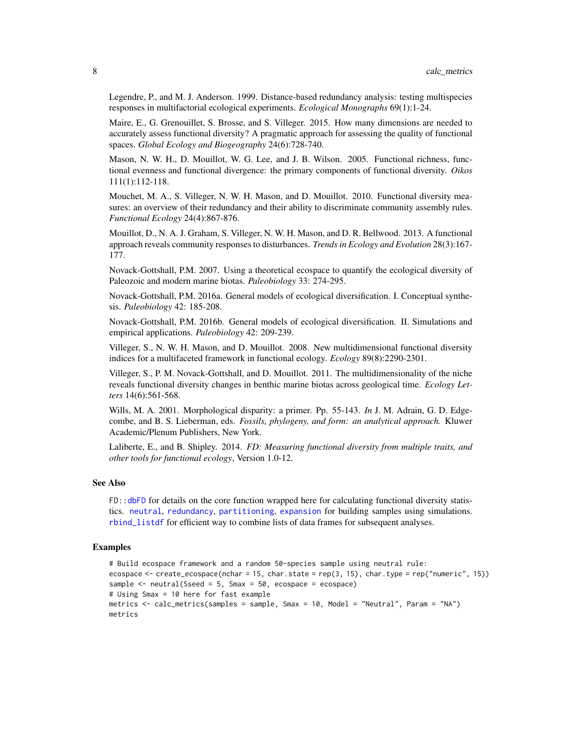Legendre, P., and M. J. Anderson. 1999. Distance-based redundancy analysis: testing multispecies responses in multifactorial ecological experiments. *Ecological Monographs* 69(1):1-24.

Maire, E., G. Grenouillet, S. Brosse, and S. Villeger. 2015. How many dimensions are needed to accurately assess functional diversity? A pragmatic approach for assessing the quality of functional spaces. *Global Ecology and Biogeography* 24(6):728-740.

Mason, N. W. H., D. Mouillot, W. G. Lee, and J. B. Wilson. 2005. Functional richness, functional evenness and functional divergence: the primary components of functional diversity. *Oikos* 111(1):112-118.

Mouchet, M. A., S. Villeger, N. W. H. Mason, and D. Mouillot. 2010. Functional diversity measures: an overview of their redundancy and their ability to discriminate community assembly rules. *Functional Ecology* 24(4):867-876.

Mouillot, D., N. A. J. Graham, S. Villeger, N. W. H. Mason, and D. R. Bellwood. 2013. A functional approach reveals community responses to disturbances. *Trends in Ecology and Evolution* 28(3):167- 177.

Novack-Gottshall, P.M. 2007. Using a theoretical ecospace to quantify the ecological diversity of Paleozoic and modern marine biotas. *Paleobiology* 33: 274-295.

Novack-Gottshall, P.M. 2016a. General models of ecological diversification. I. Conceptual synthesis. *Paleobiology* 42: 185-208.

Novack-Gottshall, P.M. 2016b. General models of ecological diversification. II. Simulations and empirical applications. *Paleobiology* 42: 209-239.

Villeger, S., N. W. H. Mason, and D. Mouillot. 2008. New multidimensional functional diversity indices for a multifaceted framework in functional ecology. *Ecology* 89(8):2290-2301.

Villeger, S., P. M. Novack-Gottshall, and D. Mouillot. 2011. The multidimensionality of the niche reveals functional diversity changes in benthic marine biotas across geological time. *Ecology Letters* 14(6):561-568.

Wills, M. A. 2001. Morphological disparity: a primer. Pp. 55-143. *In* J. M. Adrain, G. D. Edgecombe, and B. S. Lieberman, eds. *Fossils, phylogeny, and form: an analytical approach.* Kluwer Academic/Plenum Publishers, New York.

Laliberte, E., and B. Shipley. 2014. *FD: Measuring functional diversity from multiple traits, and other tools for functional ecology*, Version 1.0-12.

## See Also

FD:[:dbFD](#page-0-0) for details on the core function wrapped here for calculating functional diversity statistics. [neutral](#page-19-1), [redundancy](#page-29-1), [partitioning](#page-22-1), [expansion](#page-13-1) for building samples using simulations. [rbind\\_listdf](#page-26-1) for efficient way to combine lists of data frames for subsequent analyses.

```
# Build ecospace framework and a random 50-species sample using neutral rule:
ecospace <- create_ecospace(nchar = 15, char.state = rep(3, 15), char.type = rep("numeric", 15))
sample \leq neutral(Sseed = 5, Smax = 50, ecospace = ecospace)
# Using Smax = 10 here for fast example
metrics <- calc_metrics(samples = sample, Smax = 10, Model = "Neutral", Param = "NA")
metrics
```
<span id="page-7-0"></span>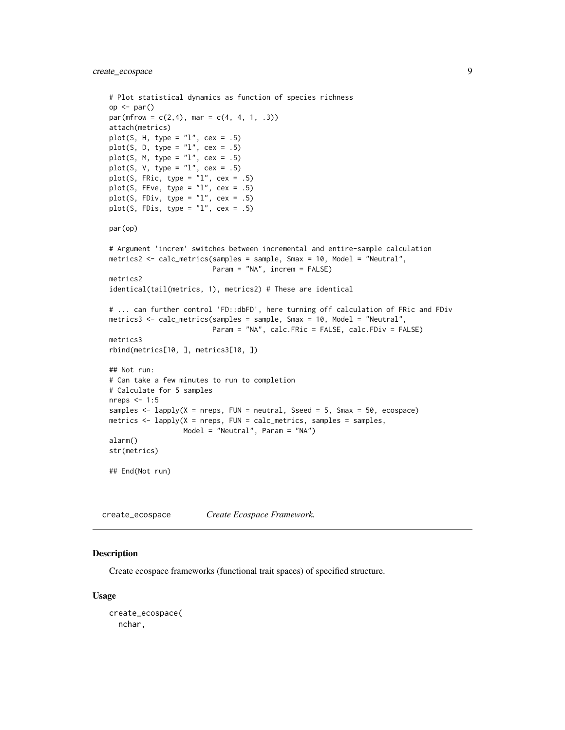```
# Plot statistical dynamics as function of species richness
op <- par()
par(mfrow = c(2, 4), mar = c(4, 4, 1, .3))attach(metrics)
plot(S, H, type = "1", cex = .5)
plot(S, D, type = "1", cex = .5)
plot(S, M, type = "1", cex = .5)
plot(S, V, type = "l", cex = .5)
plot(S, FRic, type = "1", cex = .5)
plot(S, FEve, type = "1", cex = .5)
plot(S, FDiv, type = "1", cex = .5)
plot(S, FDis, type = "1", cex = .5)
par(op)
# Argument 'increm' switches between incremental and entire-sample calculation
metrics2 <- calc_metrics(samples = sample, Smax = 10, Model = "Neutral",
                         Param = "NA", increm = FALSE)
metrics2
identical(tail(metrics, 1), metrics2) # These are identical
# ... can further control 'FD::dbFD', here turning off calculation of FRic and FDiv
metrics3 <- calc_metrics(samples = sample, Smax = 10, Model = "Neutral",
                         Param = "NA", calc.FRic = FALSE, calc.FDiv = FALSE)
metrics3
rbind(metrics[10, ], metrics3[10, ])
## Not run:
# Can take a few minutes to run to completion
# Calculate for 5 samples
nreps <-1:5samples \leq lapply(X = nreps, FUN = neutral, Sseed = 5, Smax = 50, ecospace)
metrics \leq lapply(X = nreps, FUN = calc_metrics, samples = samples,
                  Model = "Neutral", Param = "NA")
alarm()
str(metrics)
## End(Not run)
```
<span id="page-8-1"></span>create\_ecospace *Create Ecospace Framework.*

## **Description**

Create ecospace frameworks (functional trait spaces) of specified structure.

#### Usage

```
create_ecospace(
 nchar,
```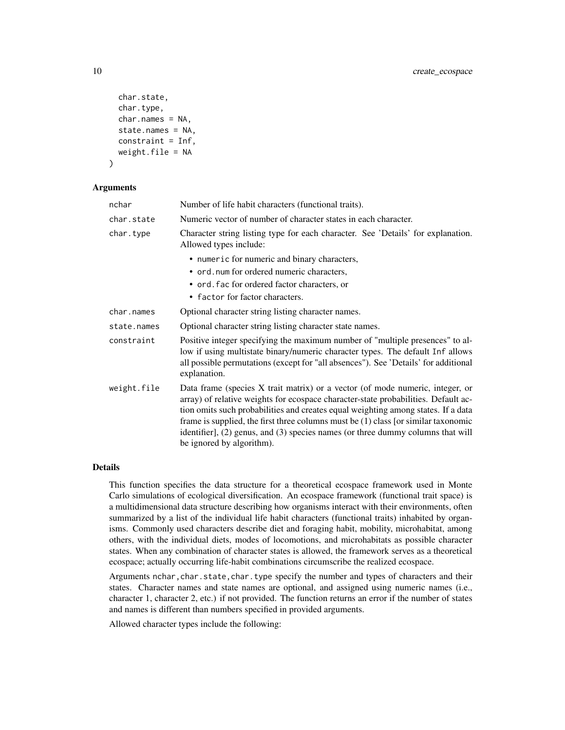```
char.state,
  char.type,
 char.nameS = NA,
  state.names = NA,
  constraint = Inf,
 weight.file = NA
)
```
#### Arguments

| nchar       | Number of life habit characters (functional traits).                                                                                                                                                                                                                                                                                                                                                                                                             |  |  |  |  |
|-------------|------------------------------------------------------------------------------------------------------------------------------------------------------------------------------------------------------------------------------------------------------------------------------------------------------------------------------------------------------------------------------------------------------------------------------------------------------------------|--|--|--|--|
| char.state  | Numeric vector of number of character states in each character.                                                                                                                                                                                                                                                                                                                                                                                                  |  |  |  |  |
| char.type   | Character string listing type for each character. See 'Details' for explanation.<br>Allowed types include:                                                                                                                                                                                                                                                                                                                                                       |  |  |  |  |
|             | • numeric for numeric and binary characters,                                                                                                                                                                                                                                                                                                                                                                                                                     |  |  |  |  |
|             | • ord. num for ordered numeric characters,                                                                                                                                                                                                                                                                                                                                                                                                                       |  |  |  |  |
|             | • ord. fac for ordered factor characters, or                                                                                                                                                                                                                                                                                                                                                                                                                     |  |  |  |  |
|             | • factor for factor characters.                                                                                                                                                                                                                                                                                                                                                                                                                                  |  |  |  |  |
| char.names  | Optional character string listing character names.                                                                                                                                                                                                                                                                                                                                                                                                               |  |  |  |  |
| state.names | Optional character string listing character state names.                                                                                                                                                                                                                                                                                                                                                                                                         |  |  |  |  |
| constraint  | Positive integer specifying the maximum number of "multiple presences" to al-<br>low if using multistate binary/numeric character types. The default Inf allows<br>all possible permutations (except for "all absences"). See 'Details' for additional<br>explanation.                                                                                                                                                                                           |  |  |  |  |
| weight.file | Data frame (species X trait matrix) or a vector (of mode numeric, integer, or<br>array) of relative weights for ecospace character-state probabilities. Default ac-<br>tion omits such probabilities and creates equal weighting among states. If a data<br>frame is supplied, the first three columns must be $(1)$ class [or similar taxonomic<br>identifier], (2) genus, and (3) species names (or three dummy columns that will<br>be ignored by algorithm). |  |  |  |  |

## Details

This function specifies the data structure for a theoretical ecospace framework used in Monte Carlo simulations of ecological diversification. An ecospace framework (functional trait space) is a multidimensional data structure describing how organisms interact with their environments, often summarized by a list of the individual life habit characters (functional traits) inhabited by organisms. Commonly used characters describe diet and foraging habit, mobility, microhabitat, among others, with the individual diets, modes of locomotions, and microhabitats as possible character states. When any combination of character states is allowed, the framework serves as a theoretical ecospace; actually occurring life-habit combinations circumscribe the realized ecospace.

Arguments nchar, char.state, char.type specify the number and types of characters and their states. Character names and state names are optional, and assigned using numeric names (i.e., character 1, character 2, etc.) if not provided. The function returns an error if the number of states and names is different than numbers specified in provided arguments.

Allowed character types include the following: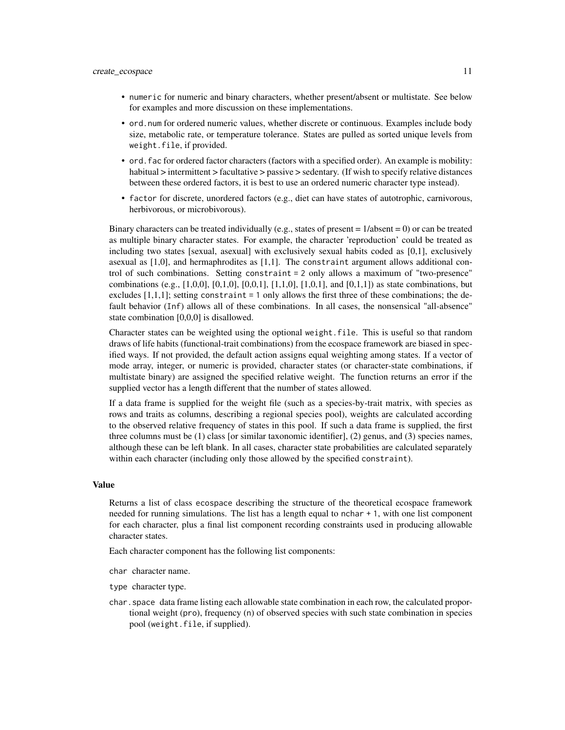- numeric for numeric and binary characters, whether present/absent or multistate. See below for examples and more discussion on these implementations.
- ord.num for ordered numeric values, whether discrete or continuous. Examples include body size, metabolic rate, or temperature tolerance. States are pulled as sorted unique levels from weight.file, if provided.
- ord.fac for ordered factor characters (factors with a specified order). An example is mobility: habitual > intermittent > facultative > passive > sedentary. (If wish to specify relative distances between these ordered factors, it is best to use an ordered numeric character type instead).
- factor for discrete, unordered factors (e.g., diet can have states of autotrophic, carnivorous, herbivorous, or microbivorous).

Binary characters can be treated individually (e.g., states of present  $= 1/absent = 0$ ) or can be treated as multiple binary character states. For example, the character 'reproduction' could be treated as including two states [sexual, asexual] with exclusively sexual habits coded as [0,1], exclusively asexual as  $[1,0]$ , and hermaphrodites as  $[1,1]$ . The constraint argument allows additional control of such combinations. Setting constraint = 2 only allows a maximum of "two-presence" combinations (e.g., [1,0,0], [0,1,0], [0,0,1], [1,1,0], [1,0,1], and [0,1,1]) as state combinations, but excludes  $[1,1,1]$ ; setting constraint = 1 only allows the first three of these combinations; the default behavior (Inf) allows all of these combinations. In all cases, the nonsensical "all-absence" state combination [0,0,0] is disallowed.

Character states can be weighted using the optional weight.file. This is useful so that random draws of life habits (functional-trait combinations) from the ecospace framework are biased in specified ways. If not provided, the default action assigns equal weighting among states. If a vector of mode array, integer, or numeric is provided, character states (or character-state combinations, if multistate binary) are assigned the specified relative weight. The function returns an error if the supplied vector has a length different that the number of states allowed.

If a data frame is supplied for the weight file (such as a species-by-trait matrix, with species as rows and traits as columns, describing a regional species pool), weights are calculated according to the observed relative frequency of states in this pool. If such a data frame is supplied, the first three columns must be (1) class [or similar taxonomic identifier], (2) genus, and (3) species names, although these can be left blank. In all cases, character state probabilities are calculated separately within each character (including only those allowed by the specified constraint).

#### Value

Returns a list of class ecospace describing the structure of the theoretical ecospace framework needed for running simulations. The list has a length equal to nchar + 1, with one list component for each character, plus a final list component recording constraints used in producing allowable character states.

Each character component has the following list components:

char character name.

type character type.

char. space data frame listing each allowable state combination in each row, the calculated proportional weight (pro), frequency (n) of observed species with such state combination in species pool (weight.file, if supplied).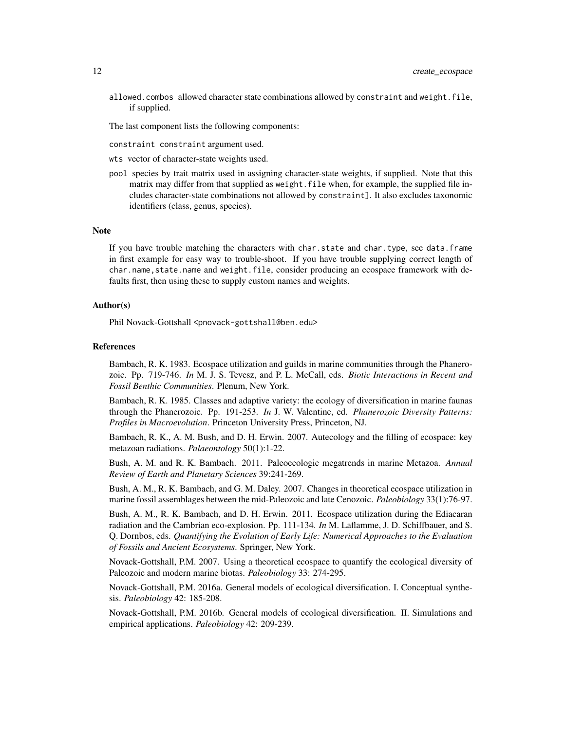allowed.combos allowed character state combinations allowed by constraint and weight.file, if supplied.

The last component lists the following components:

constraint constraint argument used.

- wts vector of character-state weights used.
- pool species by trait matrix used in assigning character-state weights, if supplied. Note that this matrix may differ from that supplied as weight. File when, for example, the supplied file includes character-state combinations not allowed by constraint]. It also excludes taxonomic identifiers (class, genus, species).

#### Note

If you have trouble matching the characters with char.state and char.type, see data.frame in first example for easy way to trouble-shoot. If you have trouble supplying correct length of char.name, state.name and weight.file, consider producing an ecospace framework with defaults first, then using these to supply custom names and weights.

## Author(s)

Phil Novack-Gottshall <pnovack-gottshall@ben.edu>

#### References

Bambach, R. K. 1983. Ecospace utilization and guilds in marine communities through the Phanerozoic. Pp. 719-746. *In* M. J. S. Tevesz, and P. L. McCall, eds. *Biotic Interactions in Recent and Fossil Benthic Communities*. Plenum, New York.

Bambach, R. K. 1985. Classes and adaptive variety: the ecology of diversification in marine faunas through the Phanerozoic. Pp. 191-253. *In* J. W. Valentine, ed. *Phanerozoic Diversity Patterns: Profiles in Macroevolution*. Princeton University Press, Princeton, NJ.

Bambach, R. K., A. M. Bush, and D. H. Erwin. 2007. Autecology and the filling of ecospace: key metazoan radiations. *Palaeontology* 50(1):1-22.

Bush, A. M. and R. K. Bambach. 2011. Paleoecologic megatrends in marine Metazoa. *Annual Review of Earth and Planetary Sciences* 39:241-269.

Bush, A. M., R. K. Bambach, and G. M. Daley. 2007. Changes in theoretical ecospace utilization in marine fossil assemblages between the mid-Paleozoic and late Cenozoic. *Paleobiology* 33(1):76-97.

Bush, A. M., R. K. Bambach, and D. H. Erwin. 2011. Ecospace utilization during the Ediacaran radiation and the Cambrian eco-explosion. Pp. 111-134. *In* M. Laflamme, J. D. Schiffbauer, and S. Q. Dornbos, eds. *Quantifying the Evolution of Early Life: Numerical Approaches to the Evaluation of Fossils and Ancient Ecosystems*. Springer, New York.

Novack-Gottshall, P.M. 2007. Using a theoretical ecospace to quantify the ecological diversity of Paleozoic and modern marine biotas. *Paleobiology* 33: 274-295.

Novack-Gottshall, P.M. 2016a. General models of ecological diversification. I. Conceptual synthesis. *Paleobiology* 42: 185-208.

Novack-Gottshall, P.M. 2016b. General models of ecological diversification. II. Simulations and empirical applications. *Paleobiology* 42: 209-239.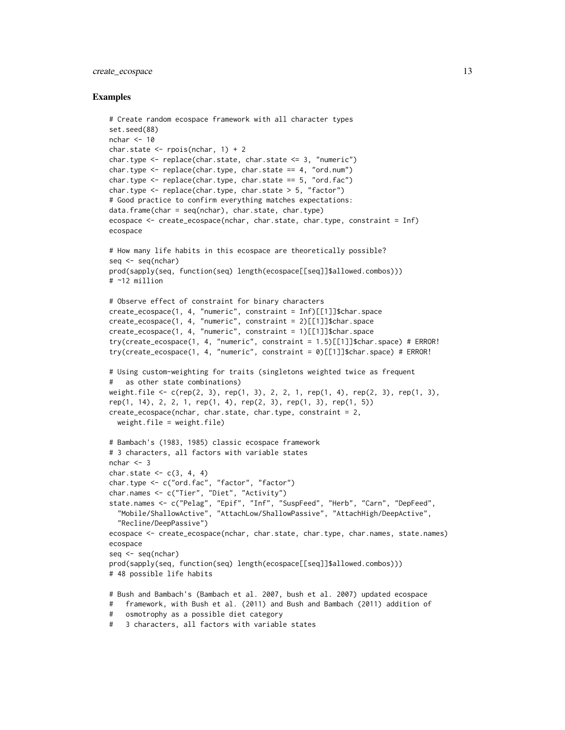## create\_ecospace 13

```
# Create random ecospace framework with all character types
set.seed(88)
nchar <-10char.state \leq rpois(nchar, 1) + 2
char.type <- replace(char.state, char.state <= 3, "numeric")
char.type \leq replace(char.type, char.state == 4, "ord.num")
char.type \leq replace(char.type, char.state == 5, "ord.fac")
char.type <- replace(char.type, char.state > 5, "factor")
# Good practice to confirm everything matches expectations:
data.frame(char = seq(nchar), char.state, char.type)
ecospace <- create_ecospace(nchar, char.state, char.type, constraint = Inf)
ecospace
# How many life habits in this ecospace are theoretically possible?
seq <- seq(nchar)
prod(sapply(seq, function(seq) length(ecospace[[seq]]$allowed.combos)))
# ~12 million
# Observe effect of constraint for binary characters
create_ecospace(1, 4, "numeric", constraint = Inf)[[1]]$char.space
create_ecospace(1, 4, "numeric", constraint = 2)[[1]]$char.space
create_ecospace(1, 4, "numeric", constraint = 1)[[1]]$char.space
try(create_ecospace(1, 4, "numeric", constraint = 1.5)[[1]]$char.space) # ERROR!
try(create_ecospace(1, 4, "numeric", constraint = \emptyset)[[1]]$char.space) # ERROR!
# Using custom-weighting for traits (singletons weighted twice as frequent
# as other state combinations)
weight.file <- c(rep(2, 3), rep(1, 3), 2, 2, 1, rep(1, 4), rep(2, 3), rep(1, 3),
rep(1, 14), 2, 2, 1, rep(1, 4), rep(2, 3), rep(1, 3), rep(1, 5))
create_ecospace(nchar, char.state, char.type, constraint = 2,
  weight.file = weight.fit# Bambach's (1983, 1985) classic ecospace framework
# 3 characters, all factors with variable states
nchar <-3char.state <- c(3, 4, 4)
char.type <- c("ord.fac", "factor", "factor")
char.names <- c("Tier", "Diet", "Activity")
state.names <- c("Pelag", "Epif", "Inf", "SuspFeed", "Herb", "Carn", "DepFeed",
  "Mobile/ShallowActive", "AttachLow/ShallowPassive", "AttachHigh/DeepActive",
  "Recline/DeepPassive")
ecospace <- create_ecospace(nchar, char.state, char.type, char.names, state.names)
ecospace
seq <- seq(nchar)
prod(sapply(seq, function(seq) length(ecospace[[seq]]$allowed.combos)))
# 48 possible life habits
# Bush and Bambach's (Bambach et al. 2007, bush et al. 2007) updated ecospace
# framework, with Bush et al. (2011) and Bush and Bambach (2011) addition of
# osmotrophy as a possible diet category
# 3 characters, all factors with variable states
```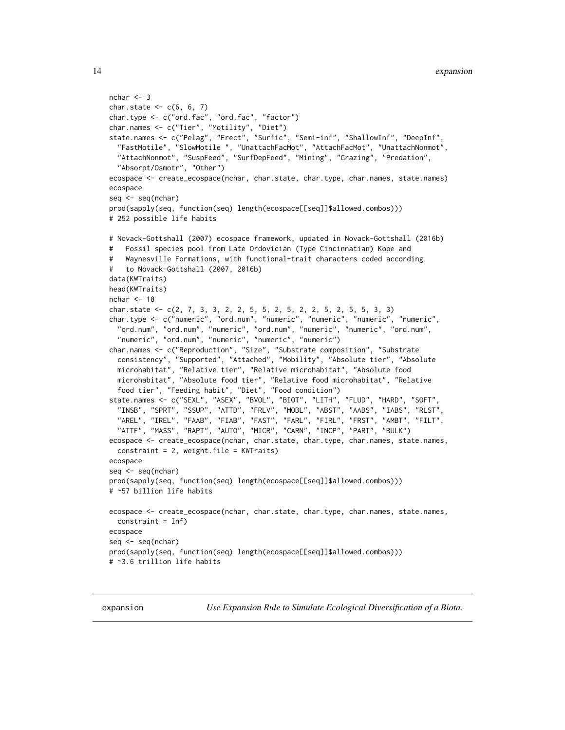```
nchar <-3char.state <-c(6, 6, 7)char.type <- c("ord.fac", "ord.fac", "factor")
char.names <- c("Tier", "Motility", "Diet")
state.names <- c("Pelag", "Erect", "Surfic", "Semi-inf", "ShallowInf", "DeepInf",
 "FastMotile", "SlowMotile ", "UnattachFacMot", "AttachFacMot", "UnattachNonmot",
  "AttachNonmot", "SuspFeed", "SurfDepFeed", "Mining", "Grazing", "Predation",
  "Absorpt/Osmotr", "Other")
ecospace <- create_ecospace(nchar, char.state, char.type, char.names, state.names)
ecospace
seq <- seq(nchar)
prod(sapply(seq, function(seq) length(ecospace[[seq]]$allowed.combos)))
# 252 possible life habits
# Novack-Gottshall (2007) ecospace framework, updated in Novack-Gottshall (2016b)
# Fossil species pool from Late Ordovician (Type Cincinnatian) Kope and
# Waynesville Formations, with functional-trait characters coded according
# to Novack-Gottshall (2007, 2016b)
data(KWTraits)
head(KWTraits)
nchar <-18char.state <- c(2, 7, 3, 3, 2, 2, 5, 5, 2, 5, 2, 2, 5, 2, 5, 5, 3, 3)
char.type <- c("numeric", "ord.num", "numeric", "numeric", "numeric", "numeric",
  "ord.num", "ord.num", "numeric", "ord.num", "numeric", "numeric", "ord.num",
  "numeric", "ord.num", "numeric", "numeric", "numeric")
char.names <- c("Reproduction", "Size", "Substrate composition", "Substrate
  consistency", "Supported", "Attached", "Mobility", "Absolute tier", "Absolute
 microhabitat", "Relative tier", "Relative microhabitat", "Absolute food
  microhabitat", "Absolute food tier", "Relative food microhabitat", "Relative
  food tier", "Feeding habit", "Diet", "Food condition")
state.names <- c("SEXL", "ASEX", "BVOL", "BIOT", "LITH", "FLUD", "HARD", "SOFT",
  "INSB", "SPRT", "SSUP", "ATTD", "FRLV", "MOBL", "ABST", "AABS", "IABS", "RLST",
  "AREL", "IREL", "FAAB", "FIAB", "FAST", "FARL", "FIRL", "FRST", "AMBT", "FILT",
  "ATTF", "MASS", "RAPT", "AUTO", "MICR", "CARN", "INCP", "PART", "BULK")
ecospace <- create_ecospace(nchar, char.state, char.type, char.names, state.names,
 constraint = 2, weight.file = KWTraits)
ecospace
seq <- seq(nchar)
prod(sapply(seq, function(seq) length(ecospace[[seq]]$allowed.combos)))
# ~57 billion life habits
ecospace <- create_ecospace(nchar, char.state, char.type, char.names, state.names,
 constant = Inf)
ecospace
seq <- seq(nchar)
prod(sapply(seq, function(seq) length(ecospace[[seq]]$allowed.combos)))
# ~3.6 trillion life habits
```
<span id="page-13-1"></span>expansion *Use Expansion Rule to Simulate Ecological Diversification of a Biota.*

<span id="page-13-0"></span>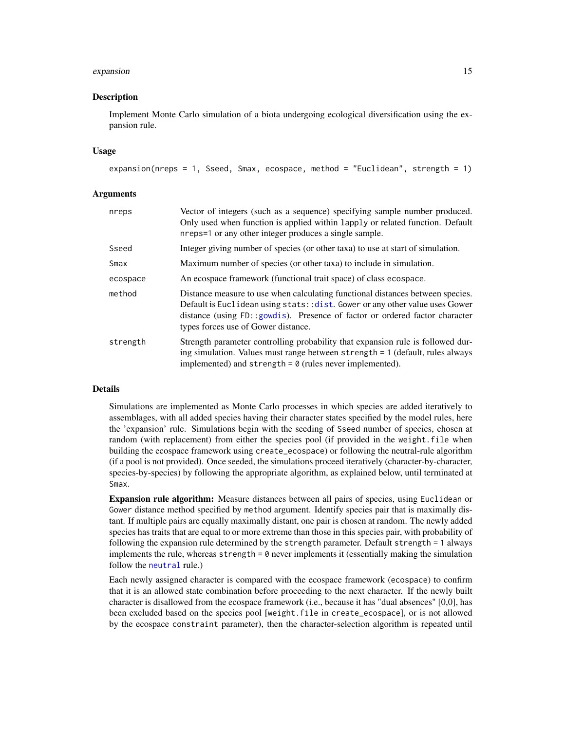#### <span id="page-14-0"></span>expansion and the contract of the contract of the contract of the contract of the contract of the contract of the contract of the contract of the contract of the contract of the contract of the contract of the contract of

## Description

Implement Monte Carlo simulation of a biota undergoing ecological diversification using the expansion rule.

## Usage

```
expansion(nreps = 1, Sseed, Smax, ecospace, method = "Euclidean", strength = 1)
```
#### Arguments

| nreps    | Vector of integers (such as a sequence) specifying sample number produced.<br>Only used when function is applied within lapply or related function. Default<br>nreps=1 or any other integer produces a single sample.                                                                |  |  |  |  |
|----------|--------------------------------------------------------------------------------------------------------------------------------------------------------------------------------------------------------------------------------------------------------------------------------------|--|--|--|--|
| Sseed    | Integer giving number of species (or other taxa) to use at start of simulation.                                                                                                                                                                                                      |  |  |  |  |
| Smax     | Maximum number of species (or other taxa) to include in simulation.                                                                                                                                                                                                                  |  |  |  |  |
| ecospace | An ecospace framework (functional trait space) of class ecospace.                                                                                                                                                                                                                    |  |  |  |  |
| method   | Distance measure to use when calculating functional distances between species.<br>Default is Euclidean using stats:: dist. Gower or any other value uses Gower<br>distance (using FD::gowdis). Presence of factor or ordered factor character<br>types forces use of Gower distance. |  |  |  |  |
| strength | Strength parameter controlling probability that expansion rule is followed dur-<br>ing simulation. Values must range between strength = 1 (default, rules always<br>implemented) and strength $= 0$ (rules never implemented).                                                       |  |  |  |  |

## Details

Simulations are implemented as Monte Carlo processes in which species are added iteratively to assemblages, with all added species having their character states specified by the model rules, here the 'expansion' rule. Simulations begin with the seeding of Sseed number of species, chosen at random (with replacement) from either the species pool (if provided in the weight.file when building the ecospace framework using create\_ecospace) or following the neutral-rule algorithm (if a pool is not provided). Once seeded, the simulations proceed iteratively (character-by-character, species-by-species) by following the appropriate algorithm, as explained below, until terminated at Smax.

Expansion rule algorithm: Measure distances between all pairs of species, using Euclidean or Gower distance method specified by method argument. Identify species pair that is maximally distant. If multiple pairs are equally maximally distant, one pair is chosen at random. The newly added species has traits that are equal to or more extreme than those in this species pair, with probability of following the expansion rule determined by the strength parameter. Default strength = 1 always implements the rule, whereas strength = 0 never implements it (essentially making the simulation follow the [neutral](#page-19-1) rule.)

Each newly assigned character is compared with the ecospace framework (ecospace) to confirm that it is an allowed state combination before proceeding to the next character. If the newly built character is disallowed from the ecospace framework (i.e., because it has "dual absences" [0,0], has been excluded based on the species pool [weight.file in create\_ecospace], or is not allowed by the ecospace constraint parameter), then the character-selection algorithm is repeated until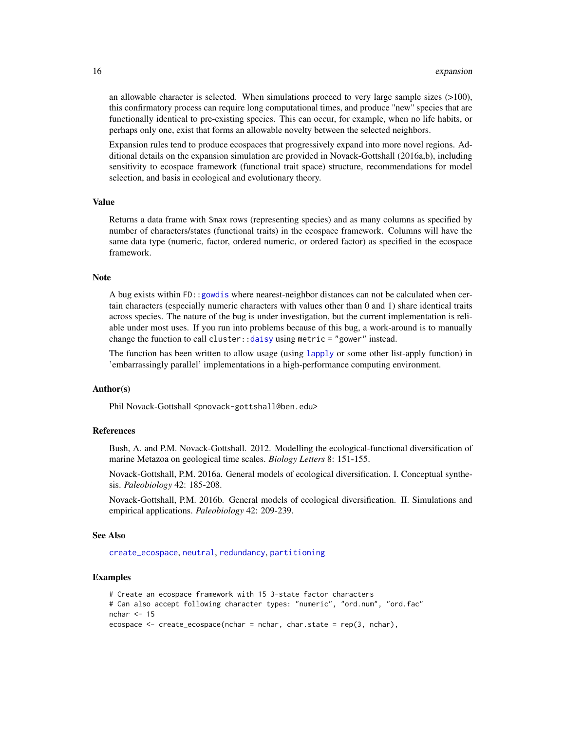an allowable character is selected. When simulations proceed to very large sample sizes  $(>100)$ , this confirmatory process can require long computational times, and produce "new" species that are functionally identical to pre-existing species. This can occur, for example, when no life habits, or perhaps only one, exist that forms an allowable novelty between the selected neighbors.

Expansion rules tend to produce ecospaces that progressively expand into more novel regions. Additional details on the expansion simulation are provided in Novack-Gottshall (2016a,b), including sensitivity to ecospace framework (functional trait space) structure, recommendations for model selection, and basis in ecological and evolutionary theory.

## Value

Returns a data frame with Smax rows (representing species) and as many columns as specified by number of characters/states (functional traits) in the ecospace framework. Columns will have the same data type (numeric, factor, ordered numeric, or ordered factor) as specified in the ecospace framework.

## Note

A bug exists within FD:[:gowdis](#page-0-0) where nearest-neighbor distances can not be calculated when certain characters (especially numeric characters with values other than 0 and 1) share identical traits across species. The nature of the bug is under investigation, but the current implementation is reliable under most uses. If you run into problems because of this bug, a work-around is to manually change the function to call cluster:[:daisy](#page-0-0) using metric = "gower" instead.

The function has been written to allow usage (using [lapply](#page-0-0) or some other list-apply function) in 'embarrassingly parallel' implementations in a high-performance computing environment.

## Author(s)

Phil Novack-Gottshall <pnovack-gottshall@ben.edu>

## References

Bush, A. and P.M. Novack-Gottshall. 2012. Modelling the ecological-functional diversification of marine Metazoa on geological time scales. *Biology Letters* 8: 151-155.

Novack-Gottshall, P.M. 2016a. General models of ecological diversification. I. Conceptual synthesis. *Paleobiology* 42: 185-208.

Novack-Gottshall, P.M. 2016b. General models of ecological diversification. II. Simulations and empirical applications. *Paleobiology* 42: 209-239.

#### See Also

[create\\_ecospace](#page-8-1), [neutral](#page-19-1), [redundancy](#page-29-1), [partitioning](#page-22-1)

```
# Create an ecospace framework with 15 3-state factor characters
# Can also accept following character types: "numeric", "ord.num", "ord.fac"
nchar <-15ecospace <- create_ecospace(nchar = nchar, char.state = rep(3, nchar),
```
<span id="page-15-0"></span>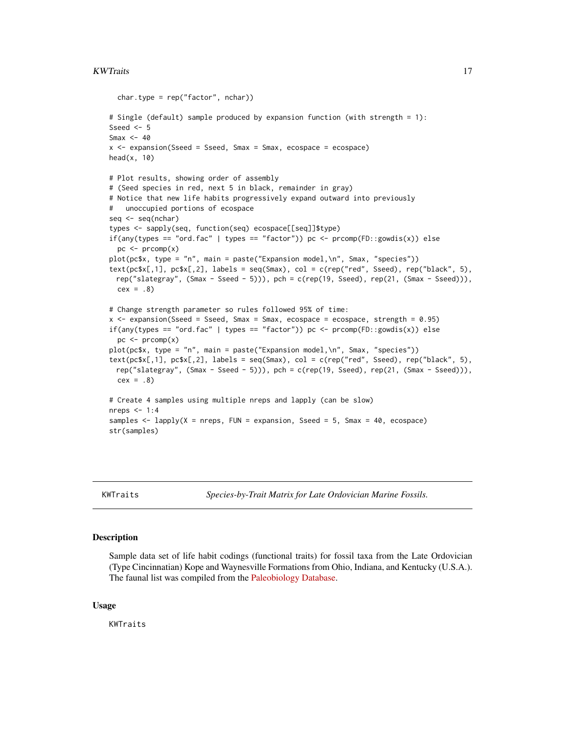## <span id="page-16-0"></span>KWTraits 17

```
char.type = rep("factor", nchar))
# Single (default) sample produced by expansion function (with strength = 1):
Sseed <-5Smax <-40x \le - expansion(Sseed = Sseed, Smax = Smax, ecospace = ecospace)
head(x, 10)# Plot results, showing order of assembly
# (Seed species in red, next 5 in black, remainder in gray)
# Notice that new life habits progressively expand outward into previously
   unoccupied portions of ecospace
seq <- seq(nchar)
types <- sapply(seq, function(seq) ecospace[[seq]]$type)
if(any(types == "ord.fac" | types == "factor")) pc <- preomp(FD::gowdis(x)) else
  pc < - prcomp(x)plot(pc$x, type = "n", main = paste("Expansion model,\n", Smax, "species"))
text(pc$x[,1], pc$x[,2], labels = seq(Smax), col = c(rep("red", Sseed), rep("black", 5),
  rep("slategray", (Smax - Sseed - 5))), pch = c(rep(19, Sseed), rep(21, (Smax - Sseed))),
  cex = .8# Change strength parameter so rules followed 95% of time:
x <- expansion(Sseed = Sseed, Smax = Smax, ecospace = ecospace, strength = 0.95)
if(any(types == "ord.fac" | types == "factor")) pc <- preomp(FD::gowdis(x)) else
  pc \le - prcomp(x)plot(pc$x, type = "n", main = paste("Expansion model,\n", Smax, "species"))
text(pc$x[,1], pc$x[,2], labels = seq(Smax), col = c(rep("red", Sseed), rep("black", 5),rep("slategray", (Smax - Sseed - 5))), pch = c(rep(19, Sseed), rep(21, (Smax - Sseed))),
  cex = .8# Create 4 samples using multiple nreps and lapply (can be slow)
nreps <-1:4samples <- lapply(X = nreps, FUN = expansion, Sseed = 5, Smax = 40, ecospace)
str(samples)
```
KWTraits *Species-by-Trait Matrix for Late Ordovician Marine Fossils.*

## Description

Sample data set of life habit codings (functional traits) for fossil taxa from the Late Ordovician (Type Cincinnatian) Kope and Waynesville Formations from Ohio, Indiana, and Kentucky (U.S.A.). The faunal list was compiled from the [Paleobiology Database.](https://paleobiodb.org/)

## Usage

KWTraits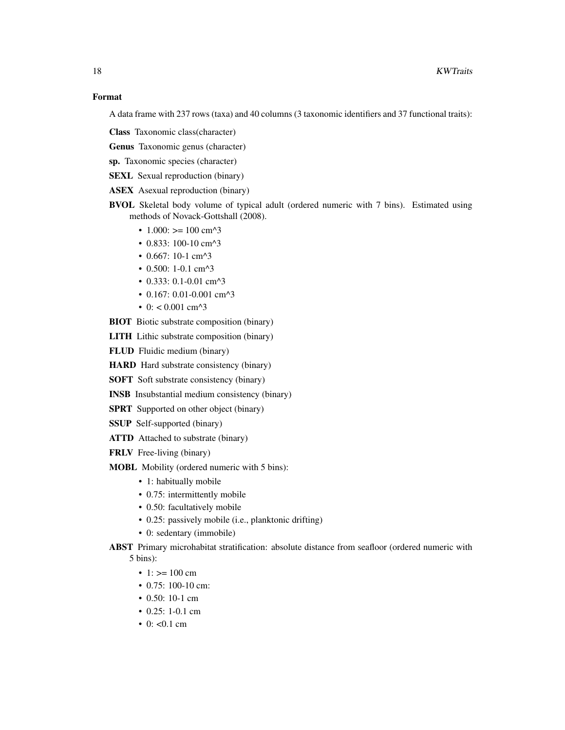A data frame with 237 rows (taxa) and 40 columns (3 taxonomic identifiers and 37 functional traits):

Class Taxonomic class(character)

Genus Taxonomic genus (character)

sp. Taxonomic species (character)

SEXL Sexual reproduction (binary)

ASEX Asexual reproduction (binary)

- BVOL Skeletal body volume of typical adult (ordered numeric with 7 bins). Estimated using methods of Novack-Gottshall (2008).
	- $1.000$ : >=  $100 \text{ cm}^2$
	- 0.833: 100-10 cm^3
	- 0.667: 10-1 cm^3
	- 0.500: 1-0.1 cm^3
	- 0.333: 0.1-0.01 cm^3
	- 0.167: 0.01-0.001 cm^3
	- 0:  $< 0.001$  cm<sup> $\lambda$ </sup>3
- BIOT Biotic substrate composition (binary)

LITH Lithic substrate composition (binary)

FLUD Fluidic medium (binary)

HARD Hard substrate consistency (binary)

SOFT Soft substrate consistency (binary)

- INSB Insubstantial medium consistency (binary)
- SPRT Supported on other object (binary)
- SSUP Self-supported (binary)
- ATTD Attached to substrate (binary)
- FRLV Free-living (binary)
- MOBL Mobility (ordered numeric with 5 bins):
	- 1: habitually mobile
	- 0.75: intermittently mobile
	- 0.50: facultatively mobile
	- 0.25: passively mobile (i.e., planktonic drifting)
	- 0: sedentary (immobile)
- ABST Primary microhabitat stratification: absolute distance from seafloor (ordered numeric with 5 bins):
	- 1:  $> = 100$  cm
	- 0.75: 100-10 cm:
	- 0.50: 10-1 cm
	- 0.25: 1-0.1 cm
	- 0:  $< 0.1$  cm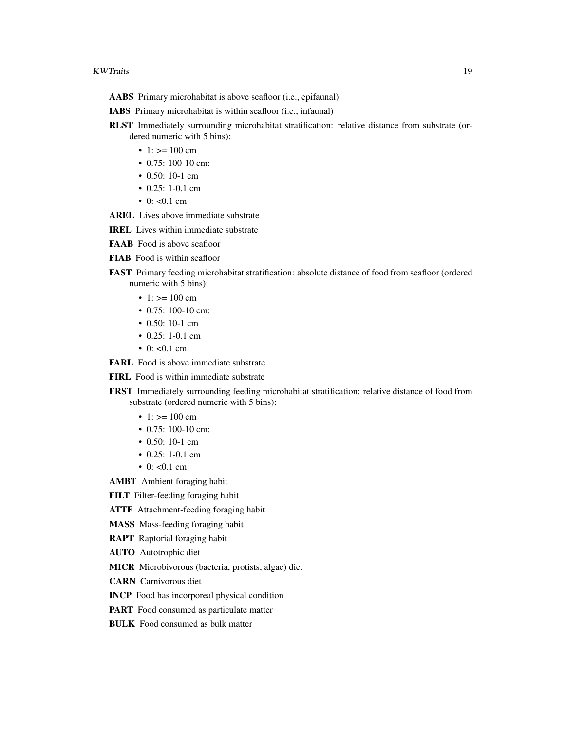- AABS Primary microhabitat is above seafloor (i.e., epifaunal)
- IABS Primary microhabitat is within seafloor (i.e., infaunal)
- RLST Immediately surrounding microhabitat stratification: relative distance from substrate (ordered numeric with 5 bins):
	- 1:  $> = 100$  cm
	- 0.75: 100-10 cm:
	- 0.50: 10-1 cm
	- 0.25: 1-0.1 cm
	- 0:  $< 0.1$  cm
- AREL Lives above immediate substrate
- IREL Lives within immediate substrate
- FAAB Food is above seafloor
- FIAB Food is within seafloor
- FAST Primary feeding microhabitat stratification: absolute distance of food from seafloor (ordered numeric with 5 bins):
	- 1:  $> = 100$  cm
	- 0.75: 100-10 cm:
	- 0.50: 10-1 cm
	- 0.25: 1-0.1 cm
	- 0:  $< 0.1$  cm

FARL Food is above immediate substrate

FIRL Food is within immediate substrate

- FRST Immediately surrounding feeding microhabitat stratification: relative distance of food from substrate (ordered numeric with 5 bins):
	- 1:  $> = 100$  cm
	- 0.75: 100-10 cm:
	- 0.50: 10-1 cm
	- 0.25: 1-0.1 cm
	- 0:  $< 0.1$  cm

AMBT Ambient foraging habit

FILT Filter-feeding foraging habit

- ATTF Attachment-feeding foraging habit
- MASS Mass-feeding foraging habit
- RAPT Raptorial foraging habit
- AUTO Autotrophic diet
- MICR Microbivorous (bacteria, protists, algae) diet
- CARN Carnivorous diet
- INCP Food has incorporeal physical condition
- PART Food consumed as particulate matter
- BULK Food consumed as bulk matter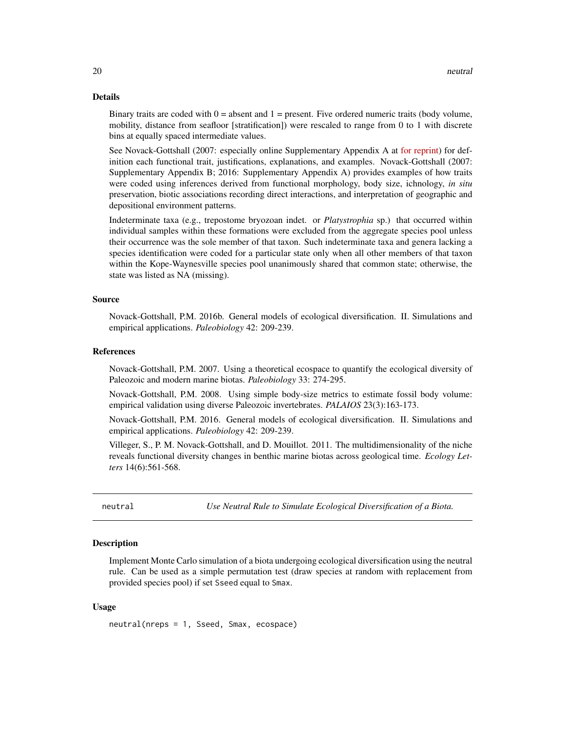## <span id="page-19-0"></span>Details

Binary traits are coded with  $0 =$  absent and  $1 =$  present. Five ordered numeric traits (body volume, mobility, distance from seafloor [stratification]) were rescaled to range from 0 to 1 with discrete bins at equally spaced intermediate values.

See Novack-Gottshall (2007: especially online Supplementary Appendix A at [for reprint\)](https://www.researchgate.net/publication/237375733_Using_a_theoretical_ecospace_to_quantify_the_ecological_diversity_of_Paleozoic_and_modern_marine_biotas) for definition each functional trait, justifications, explanations, and examples. Novack-Gottshall (2007: Supplementary Appendix B; 2016: Supplementary Appendix A) provides examples of how traits were coded using inferences derived from functional morphology, body size, ichnology, *in situ* preservation, biotic associations recording direct interactions, and interpretation of geographic and depositional environment patterns.

Indeterminate taxa (e.g., trepostome bryozoan indet. or *Platystrophia* sp.) that occurred within individual samples within these formations were excluded from the aggregate species pool unless their occurrence was the sole member of that taxon. Such indeterminate taxa and genera lacking a species identification were coded for a particular state only when all other members of that taxon within the Kope-Waynesville species pool unanimously shared that common state; otherwise, the state was listed as NA (missing).

## Source

Novack-Gottshall, P.M. 2016b. General models of ecological diversification. II. Simulations and empirical applications. *Paleobiology* 42: 209-239.

## References

Novack-Gottshall, P.M. 2007. Using a theoretical ecospace to quantify the ecological diversity of Paleozoic and modern marine biotas. *Paleobiology* 33: 274-295.

Novack-Gottshall, P.M. 2008. Using simple body-size metrics to estimate fossil body volume: empirical validation using diverse Paleozoic invertebrates. *PALAIOS* 23(3):163-173.

Novack-Gottshall, P.M. 2016. General models of ecological diversification. II. Simulations and empirical applications. *Paleobiology* 42: 209-239.

Villeger, S., P. M. Novack-Gottshall, and D. Mouillot. 2011. The multidimensionality of the niche reveals functional diversity changes in benthic marine biotas across geological time. *Ecology Letters* 14(6):561-568.

<span id="page-19-1"></span>neutral *Use Neutral Rule to Simulate Ecological Diversification of a Biota.*

## Description

Implement Monte Carlo simulation of a biota undergoing ecological diversification using the neutral rule. Can be used as a simple permutation test (draw species at random with replacement from provided species pool) if set Sseed equal to Smax.

### Usage

neutral(nreps = 1, Sseed, Smax, ecospace)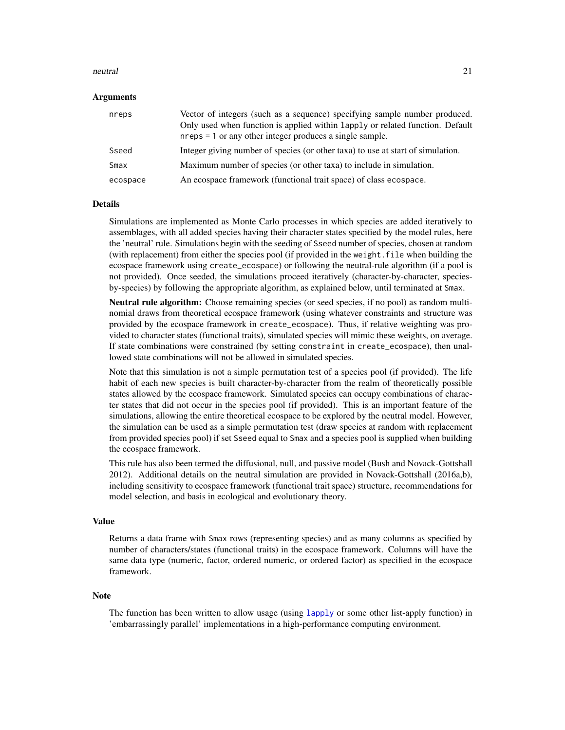#### <span id="page-20-0"></span>neutral 21 and 22 and 22 and 22 and 22 and 22 and 23 and 23 and 23 and 23 and 23 and 23 and 23 and 24 and 25 and 26 and 26 and 26 and 26 and 26 and 26 and 26 and 26 and 26 and 26 and 26 and 26 and 26 and 26 and 26 and 26 a

#### Arguments

| nreps    | Vector of integers (such as a sequence) specifying sample number produced.<br>Only used when function is applied within lapply or related function. Default<br>nreps = 1 or any other integer produces a single sample. |
|----------|-------------------------------------------------------------------------------------------------------------------------------------------------------------------------------------------------------------------------|
| Sseed    | Integer giving number of species (or other taxa) to use at start of simulation.                                                                                                                                         |
| Smax     | Maximum number of species (or other taxa) to include in simulation.                                                                                                                                                     |
| ecospace | An ecospace framework (functional trait space) of class ecospace.                                                                                                                                                       |

#### Details

Simulations are implemented as Monte Carlo processes in which species are added iteratively to assemblages, with all added species having their character states specified by the model rules, here the 'neutral' rule. Simulations begin with the seeding of Sseed number of species, chosen at random (with replacement) from either the species pool (if provided in the weight. file when building the ecospace framework using create\_ecospace) or following the neutral-rule algorithm (if a pool is not provided). Once seeded, the simulations proceed iteratively (character-by-character, speciesby-species) by following the appropriate algorithm, as explained below, until terminated at Smax.

Neutral rule algorithm: Choose remaining species (or seed species, if no pool) as random multinomial draws from theoretical ecospace framework (using whatever constraints and structure was provided by the ecospace framework in create\_ecospace). Thus, if relative weighting was provided to character states (functional traits), simulated species will mimic these weights, on average. If state combinations were constrained (by setting constraint in create\_ecospace), then unallowed state combinations will not be allowed in simulated species.

Note that this simulation is not a simple permutation test of a species pool (if provided). The life habit of each new species is built character-by-character from the realm of theoretically possible states allowed by the ecospace framework. Simulated species can occupy combinations of character states that did not occur in the species pool (if provided). This is an important feature of the simulations, allowing the entire theoretical ecospace to be explored by the neutral model. However, the simulation can be used as a simple permutation test (draw species at random with replacement from provided species pool) if set Sseed equal to Smax and a species pool is supplied when building the ecospace framework.

This rule has also been termed the diffusional, null, and passive model (Bush and Novack-Gottshall 2012). Additional details on the neutral simulation are provided in Novack-Gottshall (2016a,b), including sensitivity to ecospace framework (functional trait space) structure, recommendations for model selection, and basis in ecological and evolutionary theory.

## Value

Returns a data frame with Smax rows (representing species) and as many columns as specified by number of characters/states (functional traits) in the ecospace framework. Columns will have the same data type (numeric, factor, ordered numeric, or ordered factor) as specified in the ecospace framework.

#### Note

The function has been written to allow usage (using [lapply](#page-0-0) or some other list-apply function) in 'embarrassingly parallel' implementations in a high-performance computing environment.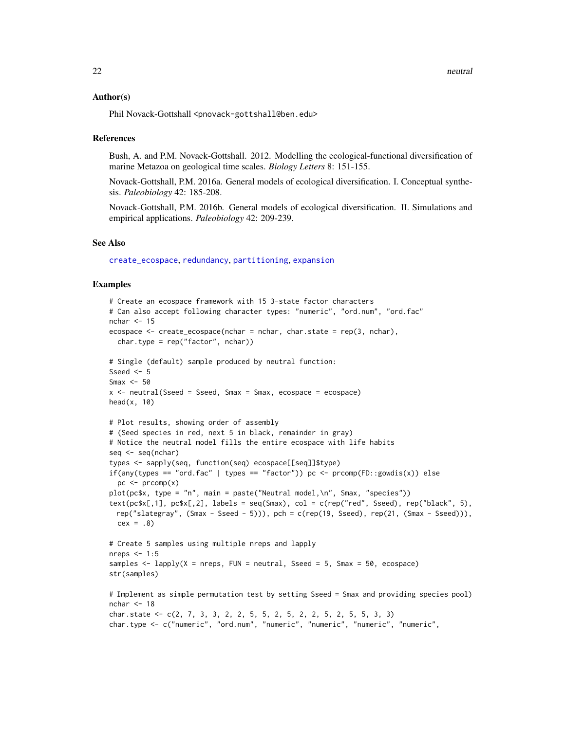#### <span id="page-21-0"></span>Author(s)

Phil Novack-Gottshall <pnovack-gottshall@ben.edu>

## References

Bush, A. and P.M. Novack-Gottshall. 2012. Modelling the ecological-functional diversification of marine Metazoa on geological time scales. *Biology Letters* 8: 151-155.

Novack-Gottshall, P.M. 2016a. General models of ecological diversification. I. Conceptual synthesis. *Paleobiology* 42: 185-208.

Novack-Gottshall, P.M. 2016b. General models of ecological diversification. II. Simulations and empirical applications. *Paleobiology* 42: 209-239.

## See Also

[create\\_ecospace](#page-8-1), [redundancy](#page-29-1), [partitioning](#page-22-1), [expansion](#page-13-1)

```
# Create an ecospace framework with 15 3-state factor characters
# Can also accept following character types: "numeric", "ord.num", "ord.fac"
nchar <-15ecospace \leq create_ecospace(nchar = nchar, char.state = rep(3, nchar),
  char.type = rep("factor", nchar))
# Single (default) sample produced by neutral function:
Sseed <-5Smax <-50x \le - neutral(Sseed = Sseed, Smax = Smax, ecospace = ecospace)
head(x, 10)# Plot results, showing order of assembly
# (Seed species in red, next 5 in black, remainder in gray)
# Notice the neutral model fills the entire ecospace with life habits
seq <- seq(nchar)
types <- sapply(seq, function(seq) ecospace[[seq]]$type)
if(any(types == "ord.fac" | types == "factor")) pc <- preomp(FD::gowdis(x)) else
  pc < - prcomp(x)plot(pc$x, type = "n", main = paste("Neutral model,\n", Smax, "species"))
text(pc$x[,1], pc$x[,2], labels = seq(Smax), col = c(rep("red", Sseed), rep("black", 5),
 rep("slategray", (Smax - Sseed - 5))), pch = c(rep(19, Sseed), rep(21, (Smax - Sseed))),
  cex = .8# Create 5 samples using multiple nreps and lapply
nreps \leq -1:5samples \leq lapply(X = nreps, FUN = neutral, Sseed = 5, Smax = 50, ecospace)
str(samples)
# Implement as simple permutation test by setting Sseed = Smax and providing species pool)
nchar \leq -18char.state <- c(2, 7, 3, 3, 2, 2, 5, 5, 2, 5, 2, 2, 5, 2, 5, 5, 3, 3)
char.type <- c("numeric", "ord.num", "numeric", "numeric", "numeric", "numeric",
```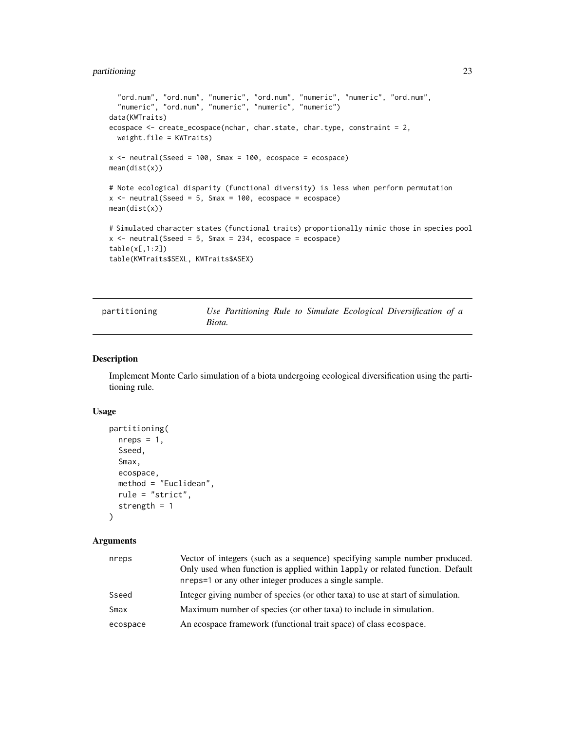## <span id="page-22-0"></span>partitioning 23

```
"ord.num", "ord.num", "numeric", "ord.num", "numeric", "numeric", "ord.num",
  "numeric", "ord.num", "numeric", "numeric", "numeric")
data(KWTraits)
ecospace <- create_ecospace(nchar, char.state, char.type, constraint = 2,
  weight.file = KWTraits)
x \le neutral(Sseed = 100, Smax = 100, ecospace = ecospace)
mean(dist(x))
# Note ecological disparity (functional diversity) is less when perform permutation
x <- neutral(Sseed = 5, Smax = 100, ecospace = ecospace)
mean(dist(x))
# Simulated character states (functional traits) proportionally mimic those in species pool
x \le neutral(Sseed = 5, Smax = 234, ecospace = ecospace)
table(x[,1:2])
table(KWTraits$SEXL, KWTraits$ASEX)
```
partitioning *Use Partitioning Rule to Simulate Ecological Diversification of a Biota.*

## Description

Implement Monte Carlo simulation of a biota undergoing ecological diversification using the partitioning rule.

## Usage

```
partitioning(
  nreps = 1,
  Sseed,
  Smax,
  ecospace,
  method = "Euclidean",
  rule = "strict",
  strength = 1
)
```
## Arguments

| nreps    | Vector of integers (such as a sequence) specifying sample number produced.<br>Only used when function is applied within lapply or related function. Default<br>nreps=1 or any other integer produces a single sample. |
|----------|-----------------------------------------------------------------------------------------------------------------------------------------------------------------------------------------------------------------------|
| Sseed    | Integer giving number of species (or other taxa) to use at start of simulation.                                                                                                                                       |
| Smax     | Maximum number of species (or other taxa) to include in simulation.                                                                                                                                                   |
| ecospace | An ecospace framework (functional trait space) of class ecospace.                                                                                                                                                     |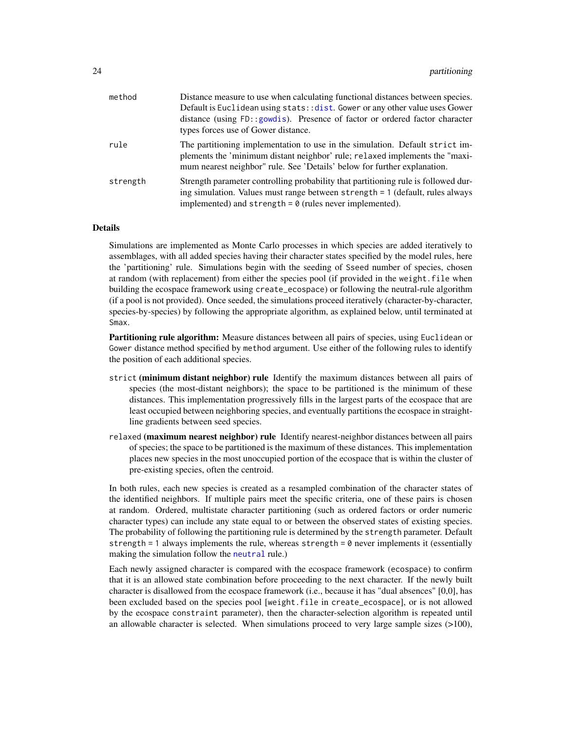<span id="page-23-0"></span>

| method   | Distance measure to use when calculating functional distances between species.<br>Default is Euclidean using stats:: dist. Gower or any other value uses Gower                                                                          |  |  |  |  |
|----------|-----------------------------------------------------------------------------------------------------------------------------------------------------------------------------------------------------------------------------------------|--|--|--|--|
|          | distance (using FD::gowdis). Presence of factor or ordered factor character<br>types forces use of Gower distance.                                                                                                                      |  |  |  |  |
| rule     | The partitioning implementation to use in the simulation. Default strict im-<br>plements the 'minimum distant neighbor' rule; relaxed implements the "maxi-<br>mum nearest neighbor" rule. See 'Details' below for further explanation. |  |  |  |  |
| strength | Strength parameter controlling probability that partitioning rule is followed dur-<br>ing simulation. Values must range between strength = 1 (default, rules always<br>implemented) and strength = $\theta$ (rules never implemented).  |  |  |  |  |

#### Details

Simulations are implemented as Monte Carlo processes in which species are added iteratively to assemblages, with all added species having their character states specified by the model rules, here the 'partitioning' rule. Simulations begin with the seeding of Sseed number of species, chosen at random (with replacement) from either the species pool (if provided in the weight.file when building the ecospace framework using create\_ecospace) or following the neutral-rule algorithm (if a pool is not provided). Once seeded, the simulations proceed iteratively (character-by-character, species-by-species) by following the appropriate algorithm, as explained below, until terminated at Smax.

Partitioning rule algorithm: Measure distances between all pairs of species, using Euclidean or Gower distance method specified by method argument. Use either of the following rules to identify the position of each additional species.

- strict (minimum distant neighbor) rule Identify the maximum distances between all pairs of species (the most-distant neighbors); the space to be partitioned is the minimum of these distances. This implementation progressively fills in the largest parts of the ecospace that are least occupied between neighboring species, and eventually partitions the ecospace in straightline gradients between seed species.
- relaxed (maximum nearest neighbor) rule Identify nearest-neighbor distances between all pairs of species; the space to be partitioned is the maximum of these distances. This implementation places new species in the most unoccupied portion of the ecospace that is within the cluster of pre-existing species, often the centroid.

In both rules, each new species is created as a resampled combination of the character states of the identified neighbors. If multiple pairs meet the specific criteria, one of these pairs is chosen at random. Ordered, multistate character partitioning (such as ordered factors or order numeric character types) can include any state equal to or between the observed states of existing species. The probability of following the partitioning rule is determined by the strength parameter. Default strength = 1 always implements the rule, whereas strength =  $\theta$  never implements it (essentially making the simulation follow the [neutral](#page-19-1) rule.)

Each newly assigned character is compared with the ecospace framework (ecospace) to confirm that it is an allowed state combination before proceeding to the next character. If the newly built character is disallowed from the ecospace framework (i.e., because it has "dual absences" [0,0], has been excluded based on the species pool [weight.file in create\_ecospace], or is not allowed by the ecospace constraint parameter), then the character-selection algorithm is repeated until an allowable character is selected. When simulations proceed to very large sample sizes  $(>100)$ ,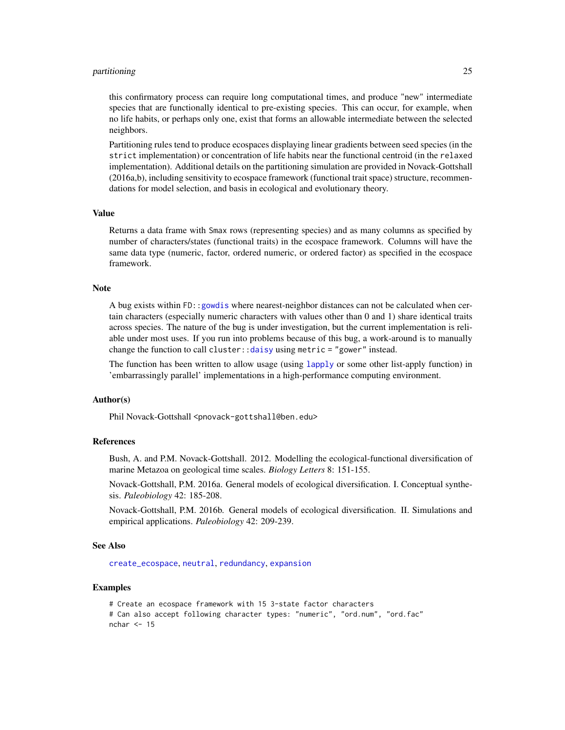## <span id="page-24-0"></span>partitioning 25

this confirmatory process can require long computational times, and produce "new" intermediate species that are functionally identical to pre-existing species. This can occur, for example, when no life habits, or perhaps only one, exist that forms an allowable intermediate between the selected neighbors.

Partitioning rules tend to produce ecospaces displaying linear gradients between seed species (in the strict implementation) or concentration of life habits near the functional centroid (in the relaxed implementation). Additional details on the partitioning simulation are provided in Novack-Gottshall (2016a,b), including sensitivity to ecospace framework (functional trait space) structure, recommendations for model selection, and basis in ecological and evolutionary theory.

## Value

Returns a data frame with Smax rows (representing species) and as many columns as specified by number of characters/states (functional traits) in the ecospace framework. Columns will have the same data type (numeric, factor, ordered numeric, or ordered factor) as specified in the ecospace framework.

## Note

A bug exists within FD:[:gowdis](#page-0-0) where nearest-neighbor distances can not be calculated when certain characters (especially numeric characters with values other than 0 and 1) share identical traits across species. The nature of the bug is under investigation, but the current implementation is reliable under most uses. If you run into problems because of this bug, a work-around is to manually change the function to call cluster:[:daisy](#page-0-0) using metric = "gower" instead.

The function has been written to allow usage (using [lapply](#page-0-0) or some other list-apply function) in 'embarrassingly parallel' implementations in a high-performance computing environment.

## Author(s)

Phil Novack-Gottshall <pnovack-gottshall@ben.edu>

#### References

Bush, A. and P.M. Novack-Gottshall. 2012. Modelling the ecological-functional diversification of marine Metazoa on geological time scales. *Biology Letters* 8: 151-155.

Novack-Gottshall, P.M. 2016a. General models of ecological diversification. I. Conceptual synthesis. *Paleobiology* 42: 185-208.

Novack-Gottshall, P.M. 2016b. General models of ecological diversification. II. Simulations and empirical applications. *Paleobiology* 42: 209-239.

## See Also

[create\\_ecospace](#page-8-1), [neutral](#page-19-1), [redundancy](#page-29-1), [expansion](#page-13-1)

## Examples

# Create an ecospace framework with 15 3-state factor characters # Can also accept following character types: "numeric", "ord.num", "ord.fac" nchar  $\leq -15$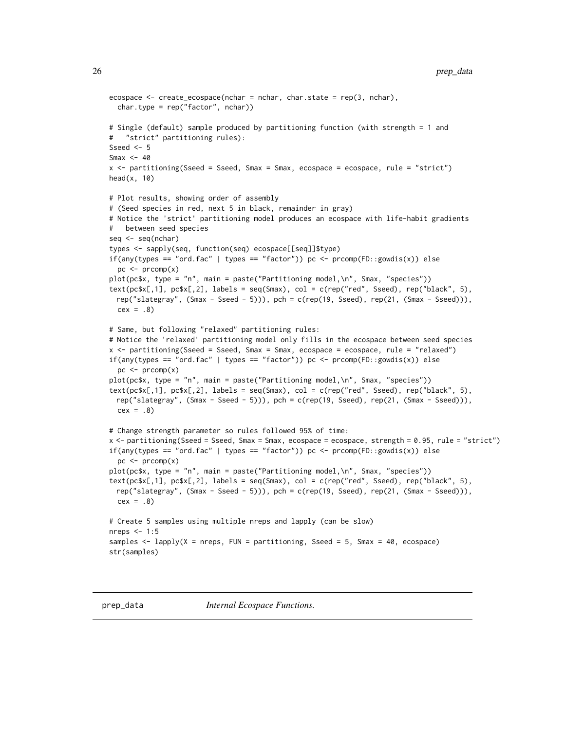```
ecospace \leq create_ecospace(nchar = nchar, char.state = rep(3, nchar),
  char.type = rep("factor", nchar))
# Single (default) sample produced by partitioning function (with strength = 1 and
# "strict" partitioning rules):
Sseed <-5Smax <-40x <- partitioning(Sseed = Sseed, Smax = Smax, ecospace = ecospace, rule = "strict")
head(x, 10)# Plot results, showing order of assembly
# (Seed species in red, next 5 in black, remainder in gray)
# Notice the 'strict' partitioning model produces an ecospace with life-habit gradients
# between seed species
seq <- seq(nchar)
types <- sapply(seq, function(seq) ecospace[[seq]]$type)
if(any(types == "ord.fac" | types == "factor")) pc <- preomp(FD::gowdis(x)) else
  pc \le - prcomp(x)plot(pc$x, type = "n", main = paste("Partitioning model,\n", Smax, "species"))
text(pcsx[,1], pcsx[,2], labels = seq(Smax), col = c(rep("red", Sseed), rep("black", 5),rep("slategray", (Smax - Sseed - 5))), pch = c(rep(19, Sseed), rep(21, (Smax - Sseed))),
 cex = .8# Same, but following "relaxed" partitioning rules:
# Notice the 'relaxed' partitioning model only fills in the ecospace between seed species
x <- partitioning(Sseed = Sseed, Smax = Smax, ecospace = ecospace, rule = "relaxed")
if(any(types == "ord.fac" | types == "factor")) pc <- \text{prcomp}(\text{FD}::\text{gowdis}(x)) else
  pc \le- prcomp(x)plot(pc$x, type = "n", main = paste("Partitioning model,\n", Smax, "species"))
text(pc$x[,1], pc$x[,2], labels = seq(Smax), col = c(rep("red", Sseed), rep("black", 5),
 rep("slategray", (Smax - Sseed - 5))), pch = c(rep(19, Sseed), rep(21, (Smax - Sseed))),
 cex = .8# Change strength parameter so rules followed 95% of time:
x <- partitioning(Sseed = Sseed, Smax = Smax, ecospace = ecospace, strength = 0.95, rule = "strict")
if(any(types == "ord.fac" | types == "factor")) pc <- \text{prcomp}(\text{FD}::\text{gowdis}(x)) else
  pc < - prcomp(x)plot(pc$x, type = "n", main = paste("Partitioning model,\n", Smax, "species"))
text(pc$x[,1], pc$x[,2], labels = seq(Smax), col = c(rep("red", Sseed), rep("black", 5),rep("slategray", (Smax - Sseed - 5))), pch = c(rep(19, Sseed), rep(21, (Smax - Sseed))),
  cex = .8# Create 5 samples using multiple nreps and lapply (can be slow)
nreps <-1:5samples \leq lapply(X = nreps, FUN = partitioning, Sseed = 5, Smax = 40, ecospace)
str(samples)
```
prep\_data *Internal Ecospace Functions.*

<span id="page-25-0"></span>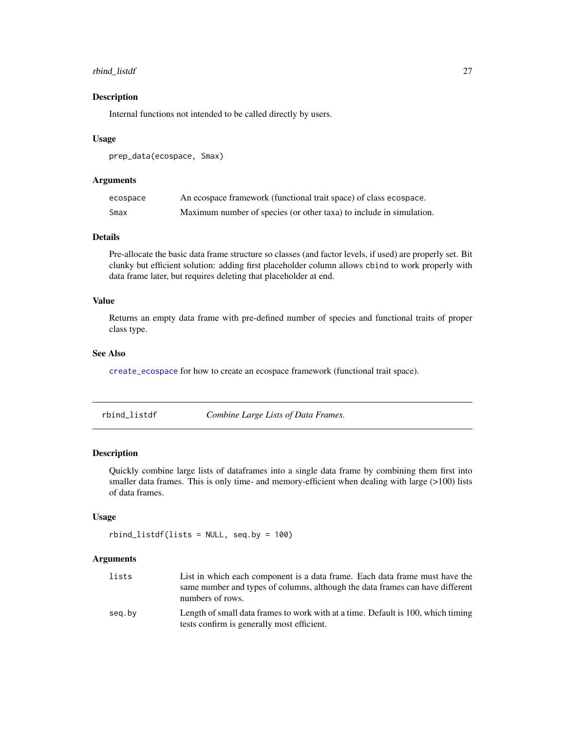## <span id="page-26-0"></span>rbind\_listdf 27

## Description

Internal functions not intended to be called directly by users.

## Usage

```
prep_data(ecospace, Smax)
```
## Arguments

| ecospace | An ecospace framework (functional trait space) of class ecospace.   |
|----------|---------------------------------------------------------------------|
| Smax     | Maximum number of species (or other taxa) to include in simulation. |

## Details

Pre-allocate the basic data frame structure so classes (and factor levels, if used) are properly set. Bit clunky but efficient solution: adding first placeholder column allows cbind to work properly with data frame later, but requires deleting that placeholder at end.

## Value

Returns an empty data frame with pre-defined number of species and functional traits of proper class type.

## See Also

[create\\_ecospace](#page-8-1) for how to create an ecospace framework (functional trait space).

<span id="page-26-1"></span>rbind\_listdf *Combine Large Lists of Data Frames.*

## Description

Quickly combine large lists of dataframes into a single data frame by combining them first into smaller data frames. This is only time- and memory-efficient when dealing with large (>100) lists of data frames.

## Usage

```
rbind\_listdf(lists = NULL, seq. by = 100)
```
#### Arguments

| lists  | List in which each component is a data frame. Each data frame must have the      |
|--------|----------------------------------------------------------------------------------|
|        | same number and types of columns, although the data frames can have different    |
|        | numbers of rows.                                                                 |
| seg.by | Length of small data frames to work with at a time. Default is 100, which timing |
|        | tests confirm is generally most efficient.                                       |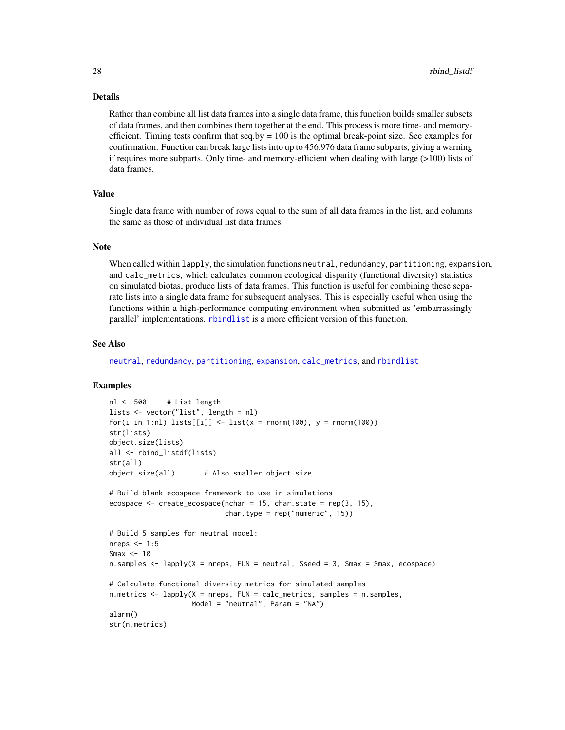## Details

Rather than combine all list data frames into a single data frame, this function builds smaller subsets of data frames, and then combines them together at the end. This process is more time- and memoryefficient. Timing tests confirm that  $seq.py = 100$  is the optimal break-point size. See examples for confirmation. Function can break large lists into up to 456,976 data frame subparts, giving a warning if requires more subparts. Only time- and memory-efficient when dealing with large (>100) lists of data frames.

## Value

Single data frame with number of rows equal to the sum of all data frames in the list, and columns the same as those of individual list data frames.

## **Note**

When called within lapply, the simulation functions neutral, redundancy, partitioning, expansion, and calc\_metrics, which calculates common ecological disparity (functional diversity) statistics on simulated biotas, produce lists of data frames. This function is useful for combining these separate lists into a single data frame for subsequent analyses. This is especially useful when using the functions within a high-performance computing environment when submitted as 'embarrassingly parallel' implementations. [rbindlist](#page-0-0) is a more efficient version of this function.

## See Also

[neutral](#page-19-1), [redundancy](#page-29-1), [partitioning](#page-22-1), [expansion](#page-13-1), [calc\\_metrics](#page-2-1), and [rbindlist](#page-0-0)

```
nl <- 500 # List length
lists <- vector("list", length = nl)
for(i in 1:nl) lists[[i]] <- list(x = \text{norm}(100), y = \text{norm}(100))
str(lists)
object.size(lists)
all <- rbind_listdf(lists)
str(all)
object.size(all) # Also smaller object size
# Build blank ecospace framework to use in simulations
ecospace \leq create_ecospace(nchar = 15, char.state = rep(3, 15),
                            char.type = rep("numeric", 15))# Build 5 samples for neutral model:
nreps <- 1:5
Smax <-10n.samples <- lapply(X = nreps, FUN = neutral, Sseed = 3, Smax = Smax, ecospace)
# Calculate functional diversity metrics for simulated samples
n.metrics \leq lapply(X = nreps, FUN = calc_metrics, samples = n.samples,
                    Model = "neutral", Param = "NA")
alarm()
str(n.metrics)
```
<span id="page-27-0"></span>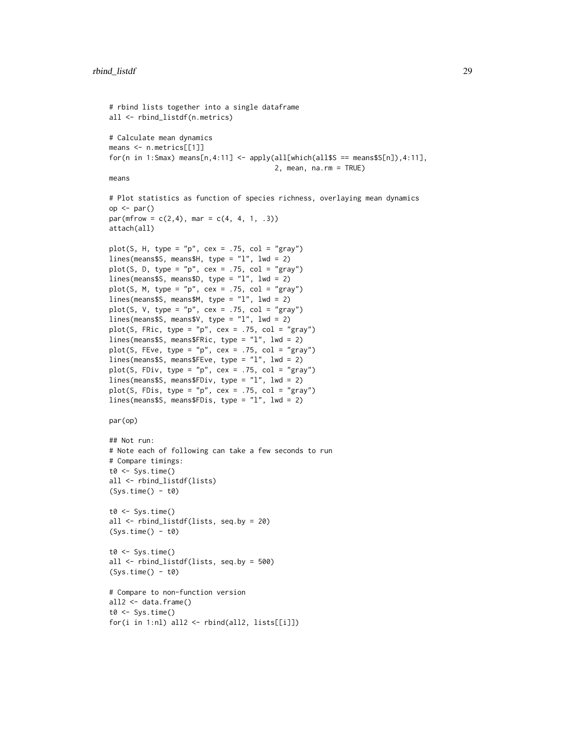```
# rbind lists together into a single dataframe
all <- rbind_listdf(n.metrics)
# Calculate mean dynamics
means <- n.metrics[[1]]
for(n in 1:Smax) means[n,4:11] <- apply(all[which(all$S == means$S[n]),4:11],
                                         2, mean, na.rm = TRUE)
means
# Plot statistics as function of species richness, overlaying mean dynamics
op \leftarrow par()par(mfrow = c(2, 4), mar = c(4, 4, 1, .3))attach(all)
plot(S, H, type = "p", cex = .75, col = "gray")lines(means$S, means$H, type = "l", lwd = 2)
plot(S, D, type = "p", cex = .75, col = "gray")
lines(means$S, means$D, type = "l", lwd = 2)
plot(S, M, type = "p", cex = .75, col = "gray")
lines(means$S, means$M, type = "l", lwd = 2)
plot(S, V, type = "p", cex = .75, col = "gray")
lines(means$S, means$V, type = "l", lwd = 2)
plot(S, FRic, type = "p", cex = .75, col = "gray")
lines(means$S, means$FRic, type = "l", lwd = 2)
plot(S, FEve, type = "p", cex = .75, col = "gray")
lines(means$S, means$FEve, type = "l", lwd = 2)
plot(S, FDiv, type = "p", cex = .75, col = "gray")
lines(means$S, means$FDiv, type = "l", lwd = 2)
plot(S, FDis, type = "p", cex = .75, col = "gray")
lines(means$S, means$FDis, type = "l", lwd = 2)
par(op)
## Not run:
# Note each of following can take a few seconds to run
# Compare timings:
t0 \leq Sys.time()
all <- rbind_listdf(lists)
(Sys.time() - t0)t0 <- Sys.time()
all <- rbind_listdf(lists, seq.by = 20)
(Sys.time() - t0)t0 \leftarrow Sys.time()all <- rbind_listdf(lists, seq.by = 500)
(Sys.time() - t0)# Compare to non-function version
all2 \leftarrow data.frame()
t0 \leftarrow Sys.time()for(i in 1:nl) all2 <- rbind(all2, lists[[i]])
```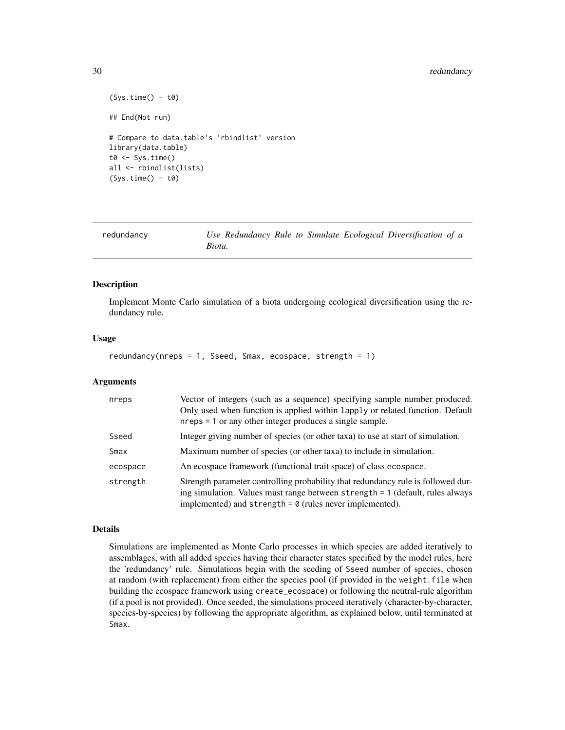## <span id="page-29-0"></span>30 redundancy

```
(Sys.time() - t0)## End(Not run)
# Compare to data.table's 'rbindlist' version
library(data.table)
t0 \leq Sys.time()
all <- rbindlist(lists)
(Sys.time() - t0)
```
<span id="page-29-1"></span>

| redundancy |        | Use Redundancy Rule to Simulate Ecological Diversification of a |  |  |
|------------|--------|-----------------------------------------------------------------|--|--|
|            | Biota. |                                                                 |  |  |

## Description

Implement Monte Carlo simulation of a biota undergoing ecological diversification using the redundancy rule.

## Usage

```
redundancy(nreps = 1, Sseed, Smax, ecospace, strength = 1)
```
## Arguments

| nreps    | Vector of integers (such as a sequence) specifying sample number produced.<br>Only used when function is applied within lapply or related function. Default<br>$n$ reps = 1 or any other integer produces a single sample.           |
|----------|--------------------------------------------------------------------------------------------------------------------------------------------------------------------------------------------------------------------------------------|
| Sseed    | Integer giving number of species (or other taxa) to use at start of simulation.                                                                                                                                                      |
| Smax     | Maximum number of species (or other taxa) to include in simulation.                                                                                                                                                                  |
| ecospace | An ecospace framework (functional trait space) of class ecospace.                                                                                                                                                                    |
| strength | Strength parameter controlling probability that redundancy rule is followed dur-<br>ing simulation. Values must range between strength = 1 (default, rules always<br>implemented) and strength = $\theta$ (rules never implemented). |

## Details

Simulations are implemented as Monte Carlo processes in which species are added iteratively to assemblages, with all added species having their character states specified by the model rules, here the 'redundancy' rule. Simulations begin with the seeding of Sseed number of species, chosen at random (with replacement) from either the species pool (if provided in the weight.file when building the ecospace framework using create\_ecospace) or following the neutral-rule algorithm (if a pool is not provided). Once seeded, the simulations proceed iteratively (character-by-character, species-by-species) by following the appropriate algorithm, as explained below, until terminated at Smax.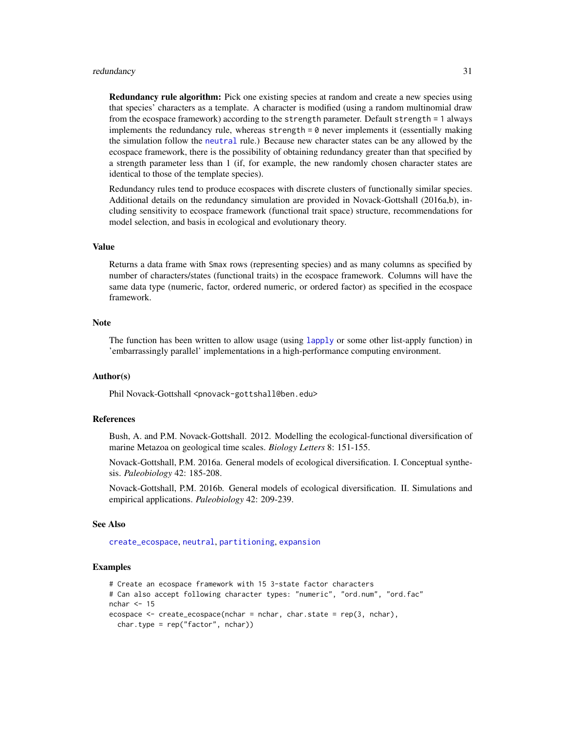#### <span id="page-30-0"></span>redundancy 31 and 32 and 32 and 32 and 33 and 33 and 33 and 33 and 33 and 33 and 33 and 33 and 33 and 33 and 33 and 33 and 33 and 33 and 33 and 33 and 33 and 33 and 33 and 33 and 33 and 33 and 33 and 33 and 33 and 33 and 3

**Redundancy rule algorithm:** Pick one existing species at random and create a new species using that species' characters as a template. A character is modified (using a random multinomial draw from the ecospace framework) according to the strength parameter. Default strength = 1 always implements the redundancy rule, whereas strength  $= 0$  never implements it (essentially making the simulation follow the [neutral](#page-19-1) rule.) Because new character states can be any allowed by the ecospace framework, there is the possibility of obtaining redundancy greater than that specified by a strength parameter less than 1 (if, for example, the new randomly chosen character states are identical to those of the template species).

Redundancy rules tend to produce ecospaces with discrete clusters of functionally similar species. Additional details on the redundancy simulation are provided in Novack-Gottshall (2016a,b), including sensitivity to ecospace framework (functional trait space) structure, recommendations for model selection, and basis in ecological and evolutionary theory.

## Value

Returns a data frame with Smax rows (representing species) and as many columns as specified by number of characters/states (functional traits) in the ecospace framework. Columns will have the same data type (numeric, factor, ordered numeric, or ordered factor) as specified in the ecospace framework.

#### Note

The function has been written to allow usage (using [lapply](#page-0-0) or some other list-apply function) in 'embarrassingly parallel' implementations in a high-performance computing environment.

#### Author(s)

Phil Novack-Gottshall <pnovack-gottshall@ben.edu>

## References

Bush, A. and P.M. Novack-Gottshall. 2012. Modelling the ecological-functional diversification of marine Metazoa on geological time scales. *Biology Letters* 8: 151-155.

Novack-Gottshall, P.M. 2016a. General models of ecological diversification. I. Conceptual synthesis. *Paleobiology* 42: 185-208.

Novack-Gottshall, P.M. 2016b. General models of ecological diversification. II. Simulations and empirical applications. *Paleobiology* 42: 209-239.

#### See Also

[create\\_ecospace](#page-8-1), [neutral](#page-19-1), [partitioning](#page-22-1), [expansion](#page-13-1)

```
# Create an ecospace framework with 15 3-state factor characters
# Can also accept following character types: "numeric", "ord.num", "ord.fac"
nchar \leq -15ecospace \leq create_ecospace(nchar = nchar, char.state = rep(3, nchar),
 char.type = rep("factor", nchar))
```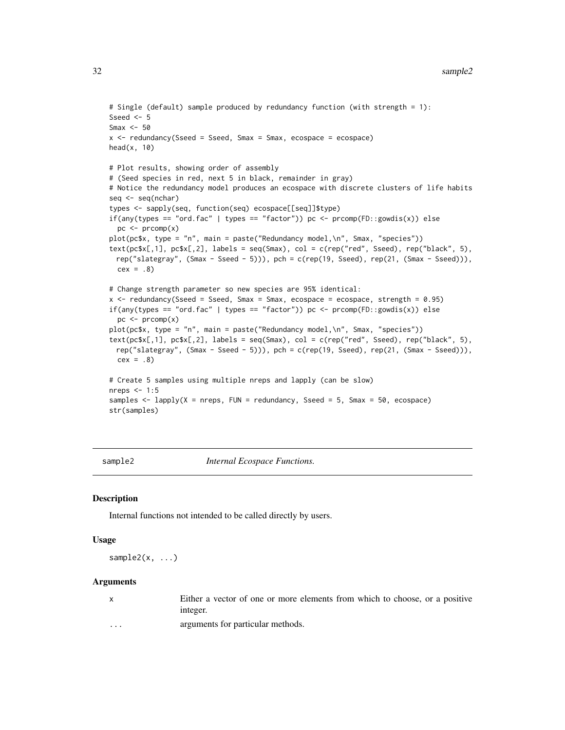```
# Single (default) sample produced by redundancy function (with strength = 1):
Sseed <-5Smax <-50x \le redundancy(Sseed = Sseed, Smax = Smax, ecospace = ecospace)
head(x, 10)# Plot results, showing order of assembly
# (Seed species in red, next 5 in black, remainder in gray)
# Notice the redundancy model produces an ecospace with discrete clusters of life habits
seq <- seq(nchar)
types <- sapply(seq, function(seq) ecospace[[seq]]$type)
if(any(types == "ord.fac" | types == "factor")) pc <- preomp(FD::gowdis(x)) else
  pc < - prcomp(x)plot(pc$x, type = "n", main = paste("Redundancy model,\n", Smax, "species"))
text(pcsx[,1], pcfx[,2], labels = seq(Smax), col = c(rep("red", Sseed), rep("black", 5),rep("slategray", (Smax - Sseed - 5))), pch = c(rep(19, Sseed), rep(21, (Smax - Sseed))),
  cex = .8# Change strength parameter so new species are 95% identical:
x <- redundancy(Sseed = Sseed, Smax = Smax, ecospace = ecospace, strength = 0.95)
if(any(types == "ord.fac" | types == "factor")) pc <- \text{prcomp}(\text{FD}::\text{gowdis}(x)) else
  pc \le- prcomp(x)plot(pc$x, type = "n", main = paste("Redundancy model,\n", Smax, "species"))
text(pc$x[,1], pc$x[,2], labels = seq(Smax), col = c(rep("red", Sseed), rep("black", 5),
 rep("slategray", (Smax - Sseed - 5))), pch = c(rep(19, Sseed), rep(21, (Smax - Sseed))),
  cex = .8# Create 5 samples using multiple nreps and lapply (can be slow)
nreps <-1:5samples \leq lapply(X = nreps, FUN = redundancy, Sseed = 5, Smax = 50, ecospace)
str(samples)
```
sample2 *Internal Ecospace Functions.*

## **Description**

Internal functions not intended to be called directly by users.

#### Usage

sample2 $(x, \ldots)$ 

#### Arguments

| $\mathsf{X}$ | Either a vector of one or more elements from which to choose, or a positive<br>integer. |
|--------------|-----------------------------------------------------------------------------------------|
| $\cdots$     | arguments for particular methods.                                                       |

<span id="page-31-0"></span>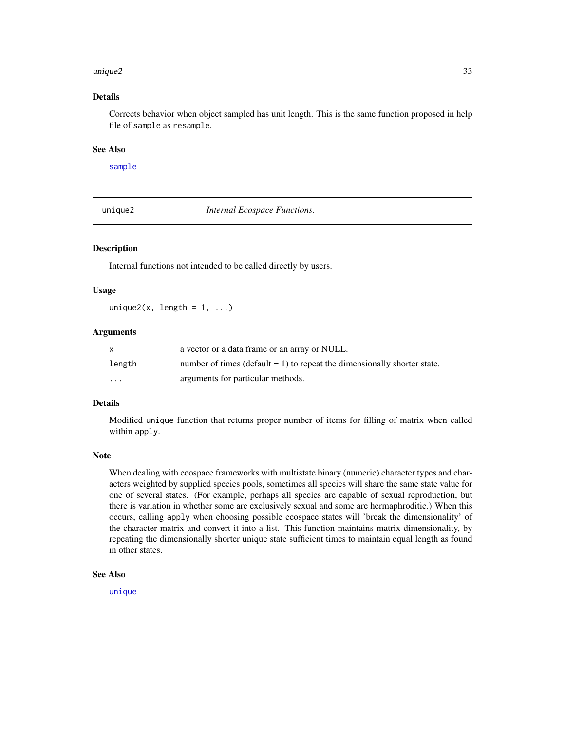#### <span id="page-32-0"></span> $unique2$  33

## Details

Corrects behavior when object sampled has unit length. This is the same function proposed in help file of sample as resample.

#### See Also

[sample](#page-0-0)

unique2 *Internal Ecospace Functions.*

## Description

Internal functions not intended to be called directly by users.

## Usage

unique2(x, length =  $1, ...$ )

## Arguments

| X        | a vector or a data frame or an array or NULL.                               |
|----------|-----------------------------------------------------------------------------|
| length   | number of times (default $= 1$ ) to repeat the dimensionally shorter state. |
| $\cdots$ | arguments for particular methods.                                           |

## Details

Modified unique function that returns proper number of items for filling of matrix when called within apply.

## Note

When dealing with ecospace frameworks with multistate binary (numeric) character types and characters weighted by supplied species pools, sometimes all species will share the same state value for one of several states. (For example, perhaps all species are capable of sexual reproduction, but there is variation in whether some are exclusively sexual and some are hermaphroditic.) When this occurs, calling apply when choosing possible ecospace states will 'break the dimensionality' of the character matrix and convert it into a list. This function maintains matrix dimensionality, by repeating the dimensionally shorter unique state sufficient times to maintain equal length as found in other states.

## See Also

[unique](#page-0-0)